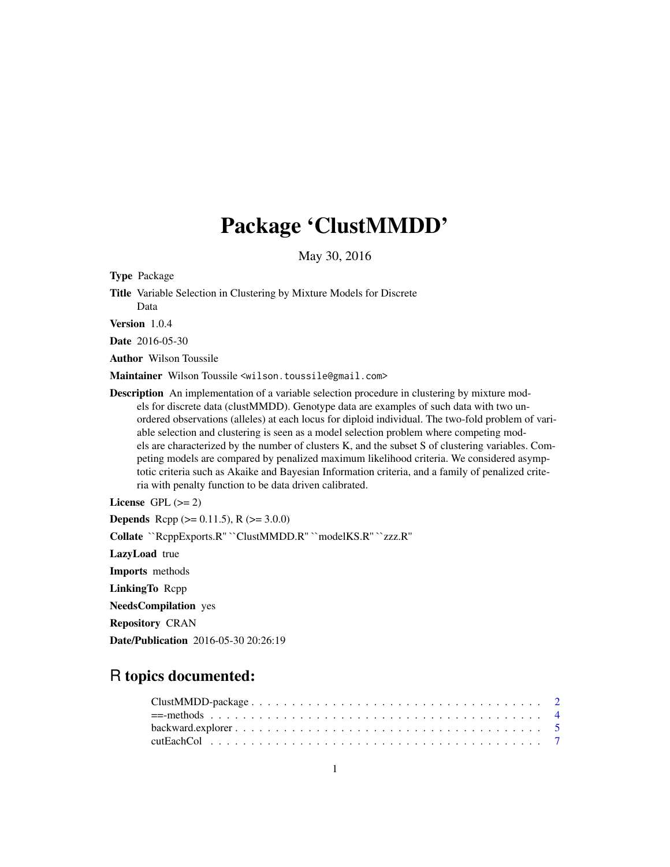# Package 'ClustMMDD'

May 30, 2016

<span id="page-0-0"></span>Type Package Title Variable Selection in Clustering by Mixture Models for Discrete Data

Version 1.0.4

Date 2016-05-30

Author Wilson Toussile

Maintainer Wilson Toussile <wilson.toussile@gmail.com>

**Description** An implementation of a variable selection procedure in clustering by mixture models for discrete data (clustMMDD). Genotype data are examples of such data with two unordered observations (alleles) at each locus for diploid individual. The two-fold problem of variable selection and clustering is seen as a model selection problem where competing models are characterized by the number of clusters K, and the subset S of clustering variables. Competing models are compared by penalized maximum likelihood criteria. We considered asymptotic criteria such as Akaike and Bayesian Information criteria, and a family of penalized criteria with penalty function to be data driven calibrated.

License GPL  $(>= 2)$ **Depends** Rcpp ( $> = 0.11.5$ ), R ( $> = 3.0.0$ ) Collate ``RcppExports.R'' ``ClustMMDD.R'' ``modelKS.R'' ``zzz.R'' LazyLoad true Imports methods LinkingTo Rcpp NeedsCompilation yes Repository CRAN Date/Publication 2016-05-30 20:26:19

# R topics documented: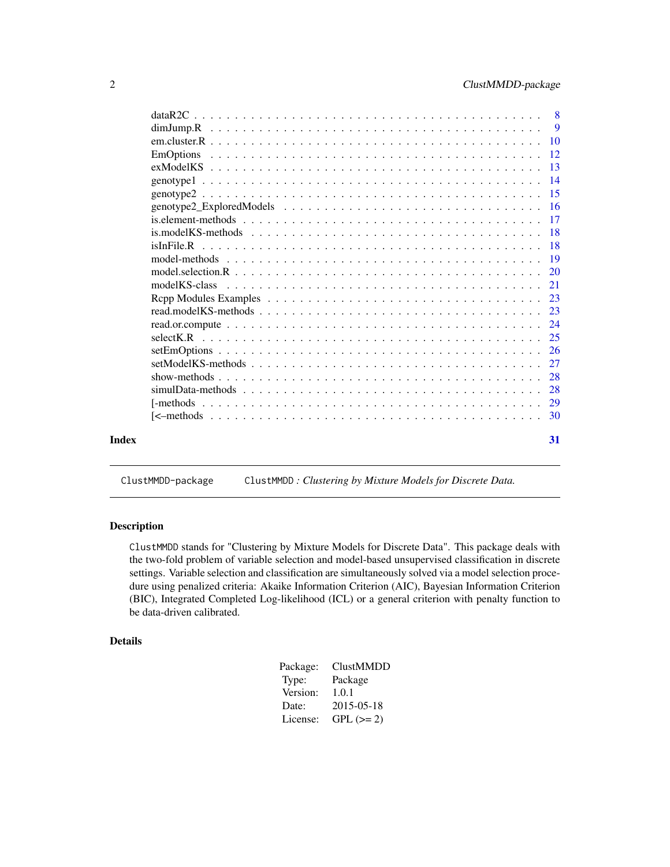<span id="page-1-0"></span>

|       | EmOptions                                                                                                                                                                                 |    |
|-------|-------------------------------------------------------------------------------------------------------------------------------------------------------------------------------------------|----|
|       |                                                                                                                                                                                           |    |
|       |                                                                                                                                                                                           |    |
|       |                                                                                                                                                                                           |    |
|       |                                                                                                                                                                                           |    |
|       |                                                                                                                                                                                           |    |
|       |                                                                                                                                                                                           |    |
|       |                                                                                                                                                                                           |    |
|       |                                                                                                                                                                                           |    |
|       |                                                                                                                                                                                           |    |
|       | model KS-class $\ldots$ $\ldots$ $\ldots$ $\ldots$ $\ldots$ $\ldots$ $\ldots$ $\ldots$ $\ldots$ $\ldots$ $\ldots$ $\ldots$ $\ldots$ $\ldots$ $\ldots$ $\ldots$ $\ldots$ $\ldots$ $\ldots$ |    |
|       |                                                                                                                                                                                           |    |
|       |                                                                                                                                                                                           |    |
|       |                                                                                                                                                                                           |    |
|       |                                                                                                                                                                                           |    |
|       |                                                                                                                                                                                           |    |
|       |                                                                                                                                                                                           |    |
|       |                                                                                                                                                                                           |    |
|       |                                                                                                                                                                                           |    |
|       |                                                                                                                                                                                           |    |
|       |                                                                                                                                                                                           |    |
| Index |                                                                                                                                                                                           | 31 |

# ClustMMDD-package ClustMMDD *: Clustering by Mixture Models for Discrete Data.*

#### <span id="page-1-1"></span>Description

ClustMMDD stands for "Clustering by Mixture Models for Discrete Data". This package deals with the two-fold problem of variable selection and model-based unsupervised classification in discrete settings. Variable selection and classification are simultaneously solved via a model selection procedure using penalized criteria: Akaike Information Criterion (AIC), Bayesian Information Criterion (BIC), Integrated Completed Log-likelihood (ICL) or a general criterion with penalty function to be data-driven calibrated.

# Details

| Package: | <b>ClustMMDD</b> |
|----------|------------------|
| Type:    | Package          |
| Version: | 1.0.1            |
| Date:    | 2015-05-18       |
| License: | $GPL (=2)$       |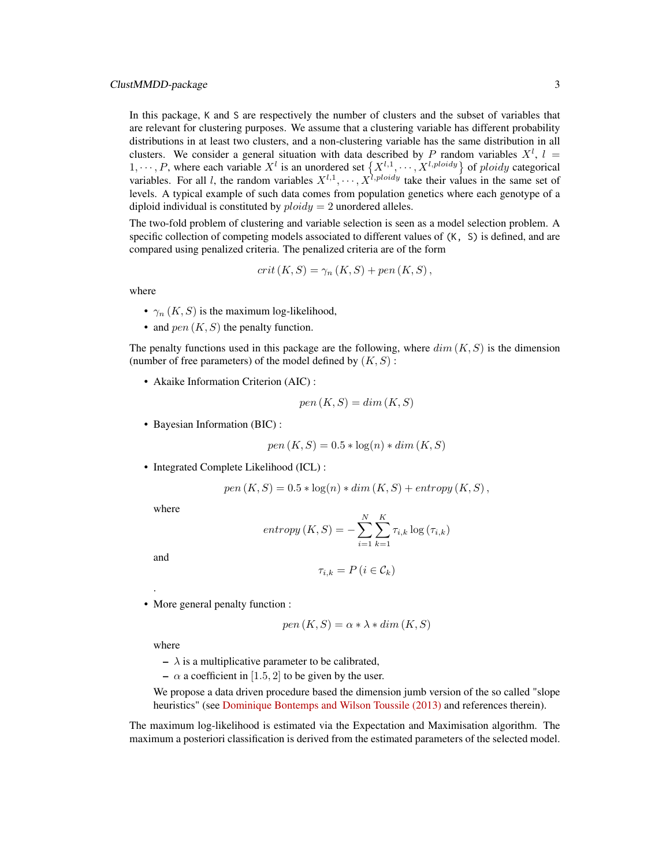## ClustMMDD-package 3

In this package, K and S are respectively the number of clusters and the subset of variables that are relevant for clustering purposes. We assume that a clustering variable has different probability distributions in at least two clusters, and a non-clustering variable has the same distribution in all clusters. We consider a general situation with data described by P random variables  $X^l$ ,  $l =$  $1, \dots, P$ , where each variable  $X^l$  is an unordered set  $\{X^{l,1}, \dots, X^{l,ploidy}\}$  of ploidy categorical variables. For all l, the random variables  $X^{l,1}, \dots, X^{l, ploidy}$  take their values in the same set of levels. A typical example of such data comes from population genetics where each genotype of a diploid individual is constituted by  $ploidy = 2$  unordered alleles.

The two-fold problem of clustering and variable selection is seen as a model selection problem. A specific collection of competing models associated to different values of (K, S) is defined, and are compared using penalized criteria. The penalized criteria are of the form

$$
crit (K, S) = \gamma_n (K, S) + pen (K, S),
$$

where

- $\gamma_n(K, S)$  is the maximum log-likelihood,
- and  $pen(K, S)$  the penalty function.

The penalty functions used in this package are the following, where  $dim(K, S)$  is the dimension (number of free parameters) of the model defined by  $(K, S)$ :

• Akaike Information Criterion (AIC) :

$$
pen(K, S) = dim(K, S)
$$

• Bayesian Information (BIC) :

$$
pen(K, S) = 0.5 * log(n) * dim(K, S)
$$

• Integrated Complete Likelihood (ICL) :

$$
pen(K, S) = 0.5 * log(n) * dim(K, S) + entropy(K, S),
$$

where

$$
entropy (K, S) = -\sum_{i=1}^{N} \sum_{k=1}^{K} \tau_{i,k} \log (\tau_{i,k})
$$

and

.

$$
\tau_{i,k} = P\left(i \in \mathcal{C}_k\right)
$$

• More general penalty function :

$$
pen(K, S) = \alpha * \lambda * dim(K, S)
$$

where

 $- \lambda$  is a multiplicative parameter to be calibrated,

–  $\alpha$  a coefficient in [1.5, 2] to be given by the user.

We propose a data driven procedure based the dimension jumb version of the so called "slope heuristics" (see [Dominique Bontemps and Wilson Toussile \(2013\)](http://projecteuclid.org/euclid.ejs/1379596773) and references therein).

The maximum log-likelihood is estimated via the Expectation and Maximisation algorithm. The maximum a posteriori classification is derived from the estimated parameters of the selected model.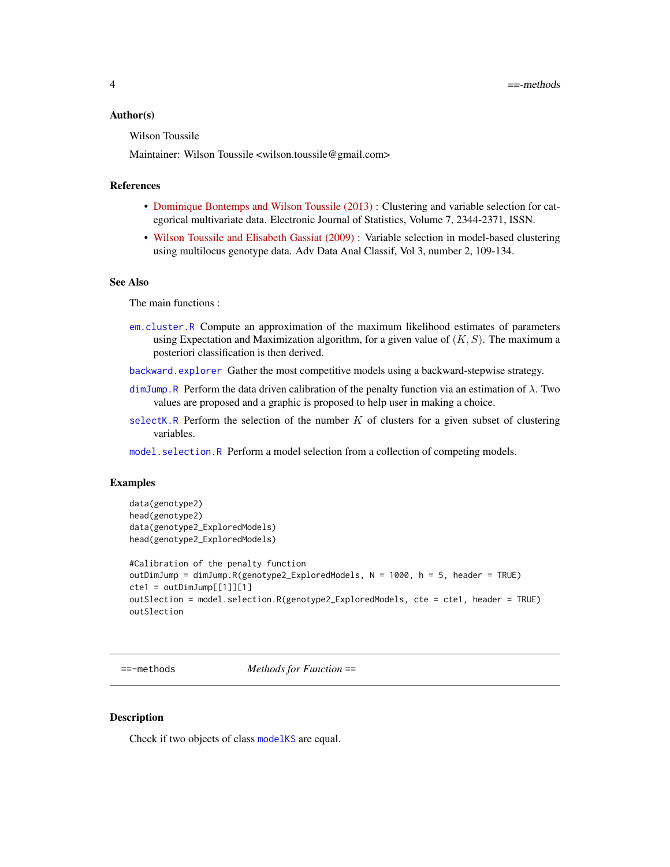#### <span id="page-3-0"></span>Author(s)

Wilson Toussile

Maintainer: Wilson Toussile <wilson.toussile@gmail.com>

#### References

- [Dominique Bontemps and Wilson Toussile \(2013\)](http://projecteuclid.org/euclid.ejs/1379596773) : Clustering and variable selection for categorical multivariate data. Electronic Journal of Statistics, Volume 7, 2344-2371, ISSN.
- [Wilson Toussile and Elisabeth Gassiat \(2009\)](http://link.springer.com/article/10.1007%2Fs11634-009-0043-x) : Variable selection in model-based clustering using multilocus genotype data. Adv Data Anal Classif, Vol 3, number 2, 109-134.

# See Also

The main functions :

- [em.cluster.R](#page-9-1) Compute an approximation of the maximum likelihood estimates of parameters using Expectation and Maximization algorithm, for a given value of  $(K, S)$ . The maximum a posteriori classification is then derived.
- [backward.explorer](#page-4-1) Gather the most competitive models using a backward-stepwise strategy.
- [dimJump.R](#page-8-1) Perform the data driven calibration of the penalty function via an estimation of  $\lambda$ . Two values are proposed and a graphic is proposed to help user in making a choice.
- [selectK.R](#page-24-1) Perform the selection of the number  $K$  of clusters for a given subset of clustering variables.
- [model.selection.R](#page-19-1) Perform a model selection from a collection of competing models.

#### Examples

```
data(genotype2)
head(genotype2)
data(genotype2_ExploredModels)
head(genotype2_ExploredModels)
#Calibration of the penalty function
outDimJump = dimJump.R(genotype2_ExploredModels, N = 1000, h = 5, header = TRUE)
cte1 = outDimJump[[1]][1]outSlection = model.selection.R(genotype2_ExploredModels, cte = cte1, header = TRUE)
outSlection
```
==-methods *Methods for Function* ==

# Description

Check if two objects of class [modelKS](#page-20-1) are equal.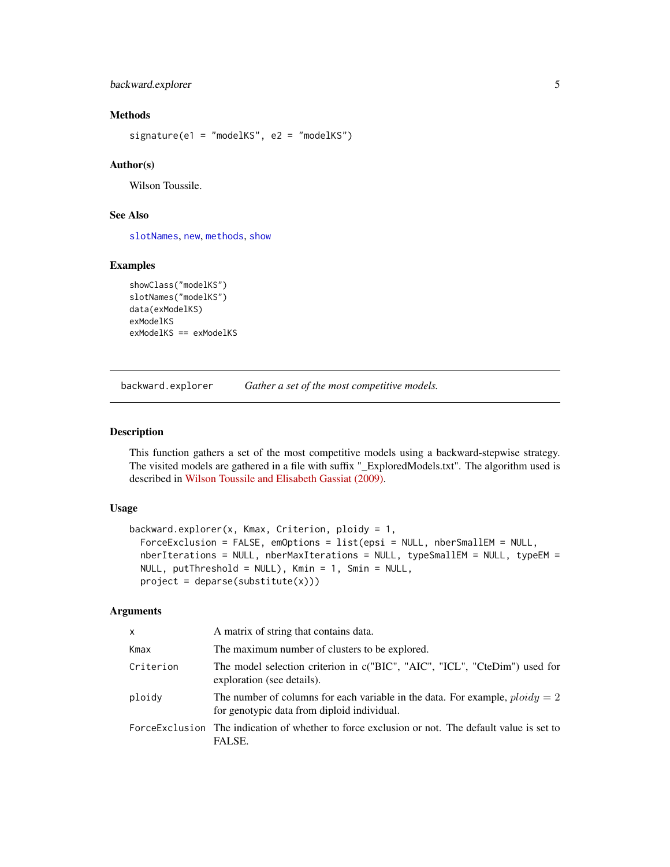# <span id="page-4-0"></span>backward.explorer 5

# Methods

signature(e1 = "modelKS", e2 = "modelKS")

#### Author(s)

Wilson Toussile.

# See Also

[slotNames](#page-0-0), [new](#page-0-0), [methods](#page-0-0), [show](#page-27-1)

# Examples

```
showClass("modelKS")
slotNames("modelKS")
data(exModelKS)
exModelKS
exModelKS == exModelKS
```
<span id="page-4-1"></span>backward.explorer *Gather a set of the most competitive models.*

# Description

This function gathers a set of the most competitive models using a backward-stepwise strategy. The visited models are gathered in a file with suffix "\_ExploredModels.txt". The algorithm used is described in [Wilson Toussile and Elisabeth Gassiat \(2009\).](http://link.springer.com/article/10.1007%2Fs11634-009-0043-x)

## Usage

```
backward.explorer(x, Kmax, Criterion, ploidy = 1,
  ForceExclusion = FALSE, emOptions = list(epsi = NULL, nberSmallEM = NULL,
 nberIterations = NULL, nberMaxIterations = NULL, typeSmallEM = NULL, typeEM =
 NULL, putThreshold = NULL), Kmin = 1, Smin = NULL,
 project = deparse(substitute(x)))
```
# Arguments

| $\times$  | A matrix of string that contains data.                                                                                        |
|-----------|-------------------------------------------------------------------------------------------------------------------------------|
| Kmax      | The maximum number of clusters to be explored.                                                                                |
| Criterion | The model selection criterion in c("BIC", "AIC", "ICL", "CteDim") used for<br>exploration (see details).                      |
| ploidy    | The number of columns for each variable in the data. For example, $ploidy = 2$<br>for genotypic data from diploid individual. |
|           | Force Exclusion The indication of whether to force exclusion or not. The default value is set to<br>FALSE.                    |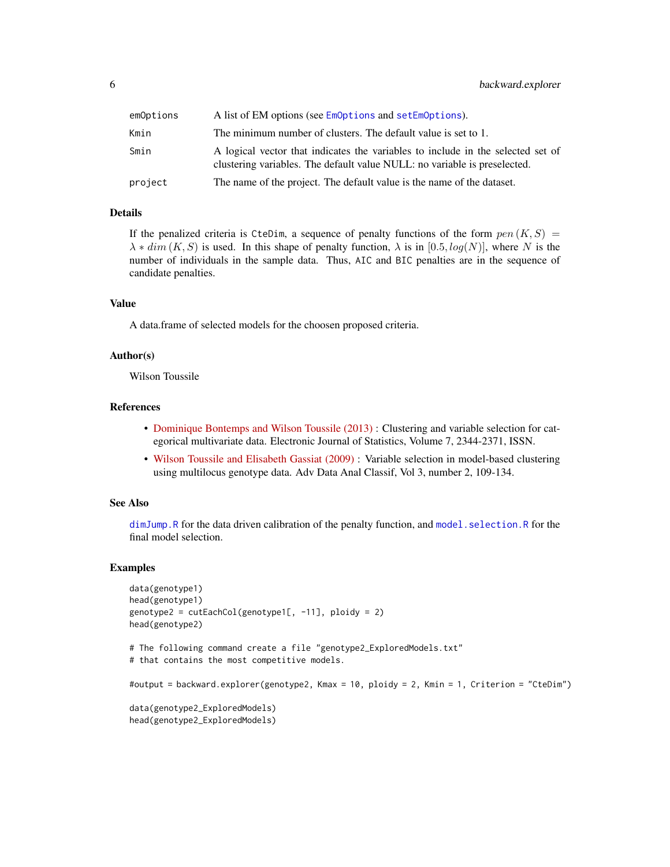<span id="page-5-0"></span>

| emOptions | A list of EM options (see EmOptions and setEmOptions).                                                                                                       |
|-----------|--------------------------------------------------------------------------------------------------------------------------------------------------------------|
| Kmin      | The minimum number of clusters. The default value is set to 1.                                                                                               |
| Smin      | A logical vector that indicates the variables to include in the selected set of<br>clustering variables. The default value NULL: no variable is preselected. |
| project   | The name of the project. The default value is the name of the dataset.                                                                                       |

## Details

If the penalized criteria is CteDim, a sequence of penalty functions of the form  $pen(K, S)$  $\lambda * dim(K, S)$  is used. In this shape of penalty function,  $\lambda$  is in [0.5, log(N)], where N is the number of individuals in the sample data. Thus, AIC and BIC penalties are in the sequence of candidate penalties.

#### Value

A data.frame of selected models for the choosen proposed criteria.

#### Author(s)

Wilson Toussile

#### **References**

- [Dominique Bontemps and Wilson Toussile \(2013\)](http://projecteuclid.org/euclid.ejs/1379596773) : Clustering and variable selection for categorical multivariate data. Electronic Journal of Statistics, Volume 7, 2344-2371, ISSN.
- [Wilson Toussile and Elisabeth Gassiat \(2009\)](http://link.springer.com/article/10.1007%2Fs11634-009-0043-x) : Variable selection in model-based clustering using multilocus genotype data. Adv Data Anal Classif, Vol 3, number 2, 109-134.

#### See Also

[dimJump.R](#page-8-1) for the data driven calibration of the penalty function, and [model.selection.R](#page-19-1) for the final model selection.

#### Examples

```
data(genotype1)
head(genotype1)
genotype2 = cutEachCol(genotype1[, -11], ploidy = 2)
head(genotype2)
# The following command create a file "genotype2_ExploredModels.txt"
# that contains the most competitive models.
#output = backward.explorer(genotype2, Kmax = 10, ploidy = 2, Kmin = 1, Criterion = "CteDim")
data(genotype2_ExploredModels)
head(genotype2_ExploredModels)
```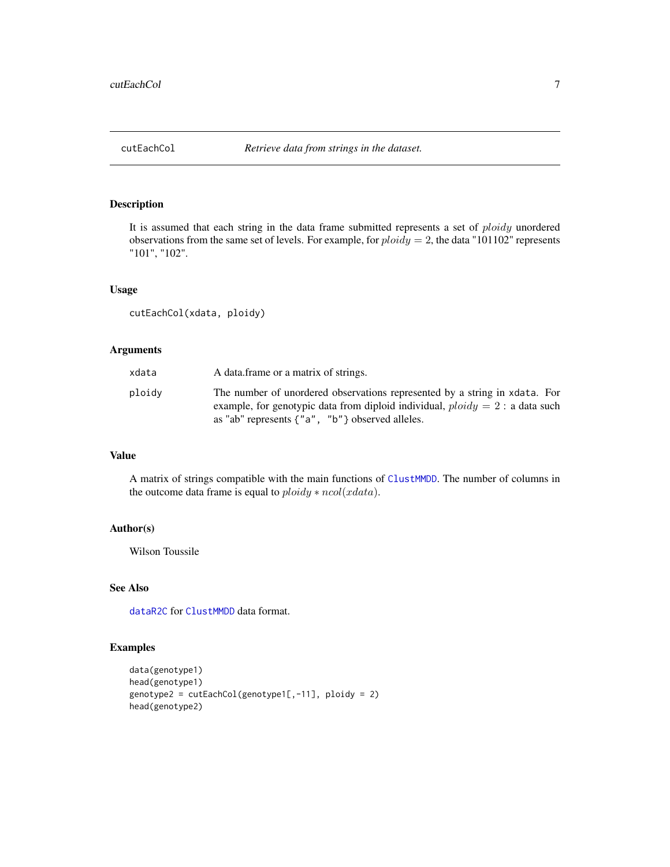<span id="page-6-1"></span><span id="page-6-0"></span>

# Description

It is assumed that each string in the data frame submitted represents a set of *ploidy* unordered observations from the same set of levels. For example, for  $ploidy = 2$ , the data "101102" represents "101", "102".

#### Usage

cutEachCol(xdata, ploidy)

# Arguments

| A data frame or a matrix of strings.<br>xdata                                                                                                                                                                                      |  |
|------------------------------------------------------------------------------------------------------------------------------------------------------------------------------------------------------------------------------------|--|
| The number of unordered observations represented by a string in xdata. For<br>ploidy<br>example, for genotypic data from diploid individual, $ploidy = 2$ : a data such<br>as "ab" represents $\{$ "a", "b" $\}$ observed alleles. |  |

# Value

A matrix of strings compatible with the main functions of [ClustMMDD](#page-1-1). The number of columns in the outcome data frame is equal to  $ploidy * ncol(xdata)$ .

#### Author(s)

Wilson Toussile

## See Also

[dataR2C](#page-7-1) for [ClustMMDD](#page-1-1) data format.

# Examples

```
data(genotype1)
head(genotype1)
genotype2 = cutEachCol(genotype1[, -11], ploidy = 2)head(genotype2)
```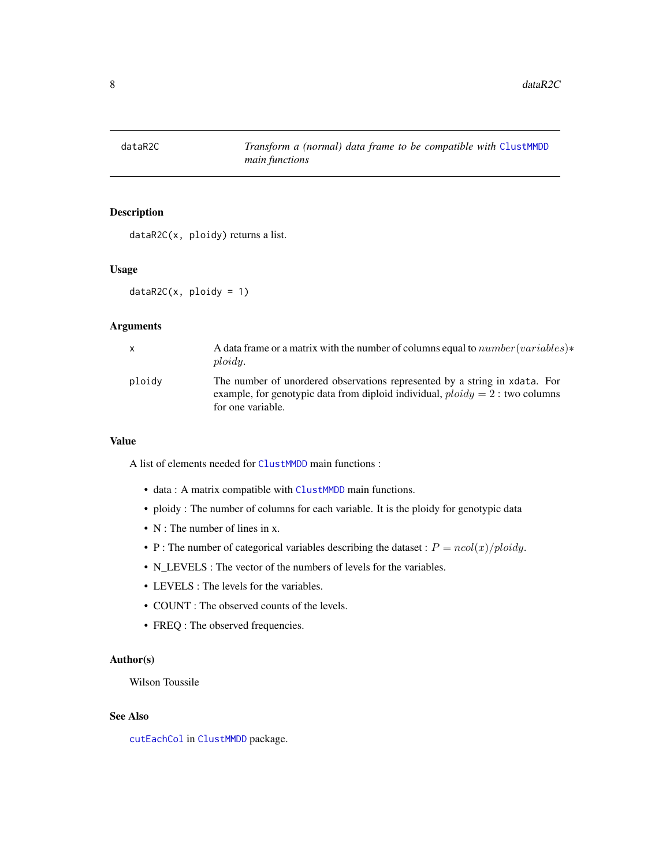<span id="page-7-1"></span><span id="page-7-0"></span>

# Description

dataR2C(x, ploidy) returns a list.

#### Usage

 $dataR2C(x, ploidy = 1)$ 

## Arguments

| X      | A data frame or a matrix with the number of columns equal to $number(variable)$ *<br>ploidy.                                                                                       |
|--------|------------------------------------------------------------------------------------------------------------------------------------------------------------------------------------|
| ploidy | The number of unordered observations represented by a string in xdata. For<br>example, for genotypic data from diploid individual, $ploidy = 2$ : two columns<br>for one variable. |

#### Value

A list of elements needed for [ClustMMDD](#page-1-1) main functions :

- data : A matrix compatible with [ClustMMDD](#page-1-1) main functions.
- ploidy : The number of columns for each variable. It is the ploidy for genotypic data
- N : The number of lines in x.
- P : The number of categorical variables describing the dataset :  $P = n \text{col}(x)/p \text{loidy}$ .
- N\_LEVELS : The vector of the numbers of levels for the variables.
- LEVELS : The levels for the variables.
- COUNT : The observed counts of the levels.
- FREQ : The observed frequencies.

## Author(s)

Wilson Toussile

# See Also

[cutEachCol](#page-6-1) in [ClustMMDD](#page-1-1) package.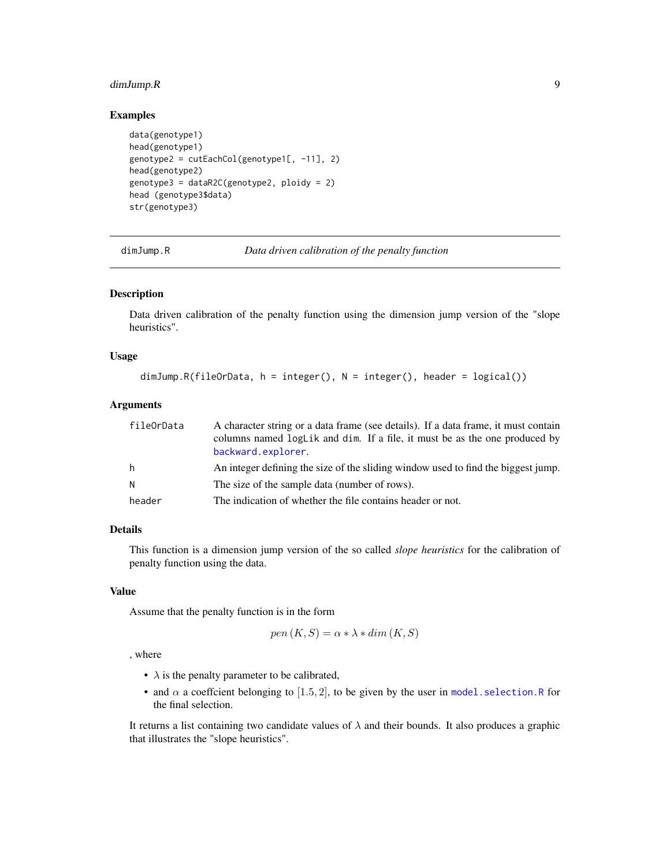## <span id="page-8-0"></span>dimJump.R 9

## Examples

```
data(genotype1)
head(genotype1)
genotype2 = cutEachCol(genotype1[, -11], 2)
head(genotype2)
genotype3 = dataR2C(genotype2, ploidy = 2)
head (genotype3$data)
str(genotype3)
```
<span id="page-8-1"></span>dimJump.R *Data driven calibration of the penalty function*

#### Description

Data driven calibration of the penalty function using the dimension jump version of the "slope heuristics".

# Usage

```
dimJump.R(fileOrData, h = integer(), N = integer(), header = logical())
```
#### Arguments

| fileOrData | A character string or a data frame (see details). If a data frame, it must contain<br>columns named logLik and dim. If a file, it must be as the one produced by |
|------------|------------------------------------------------------------------------------------------------------------------------------------------------------------------|
|            | backward.explorer.                                                                                                                                               |
| h.         | An integer defining the size of the sliding window used to find the biggest jump.                                                                                |
| N          | The size of the sample data (number of rows).                                                                                                                    |
| header     | The indication of whether the file contains header or not.                                                                                                       |

# Details

This function is a dimension jump version of the so called *slope heuristics* for the calibration of penalty function using the data.

#### Value

Assume that the penalty function is in the form

$$
pen(K, S) = \alpha * \lambda * dim(K, S)
$$

, where

- $\lambda$  is the penalty parameter to be calibrated,
- and  $\alpha$  a coeffcient belonging to [1.5, 2], to be given by the user in model. selection. R for the final selection.

It returns a list containing two candidate values of  $\lambda$  and their bounds. It also produces a graphic that illustrates the "slope heuristics".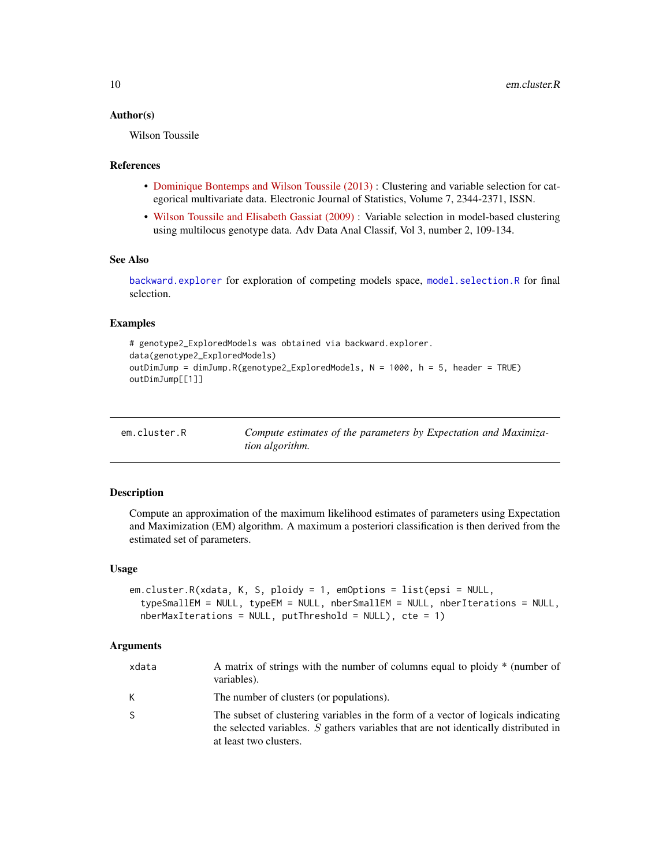#### <span id="page-9-0"></span>Author(s)

Wilson Toussile

## References

- [Dominique Bontemps and Wilson Toussile \(2013\)](http://projecteuclid.org/euclid.ejs/1379596773) : Clustering and variable selection for categorical multivariate data. Electronic Journal of Statistics, Volume 7, 2344-2371, ISSN.
- [Wilson Toussile and Elisabeth Gassiat \(2009\)](http://link.springer.com/article/10.1007%2Fs11634-009-0043-x) : Variable selection in model-based clustering using multilocus genotype data. Adv Data Anal Classif, Vol 3, number 2, 109-134.

#### See Also

[backward.explorer](#page-4-1) for exploration of competing models space, [model.selection.R](#page-19-1) for final selection.

# Examples

```
# genotype2_ExploredModels was obtained via backward.explorer.
data(genotype2_ExploredModels)
outDimJump = dimJump.R(genotype2_ExploredModels, N = 1000, h = 5, header = TRUE)
outDimJump[[1]]
```
<span id="page-9-1"></span>

| em.cluster.R | Compute estimates of the parameters by Expectation and Maximiza- |
|--------------|------------------------------------------------------------------|
|              | <i>tion algorithm.</i>                                           |

#### Description

Compute an approximation of the maximum likelihood estimates of parameters using Expectation and Maximization (EM) algorithm. A maximum a posteriori classification is then derived from the estimated set of parameters.

#### Usage

```
em.cluster.R(xdata, K, S, ploidy = 1, emOptions = list(epsi = NULL,
  typeSmallEM = NULL, typeEM = NULL, nberSmallEM = NULL, nberIterations = NULL,
  nberMaxIterations = NULL, putThreshold = NULL, ct = 1)
```
#### Arguments

| xdata | A matrix of strings with the number of columns equal to ploidy * (number of<br>variables).                                                                                                           |
|-------|------------------------------------------------------------------------------------------------------------------------------------------------------------------------------------------------------|
| K.    | The number of clusters (or populations).                                                                                                                                                             |
| S     | The subset of clustering variables in the form of a vector of logicals indicating<br>the selected variables. $S$ gathers variables that are not identically distributed in<br>at least two clusters. |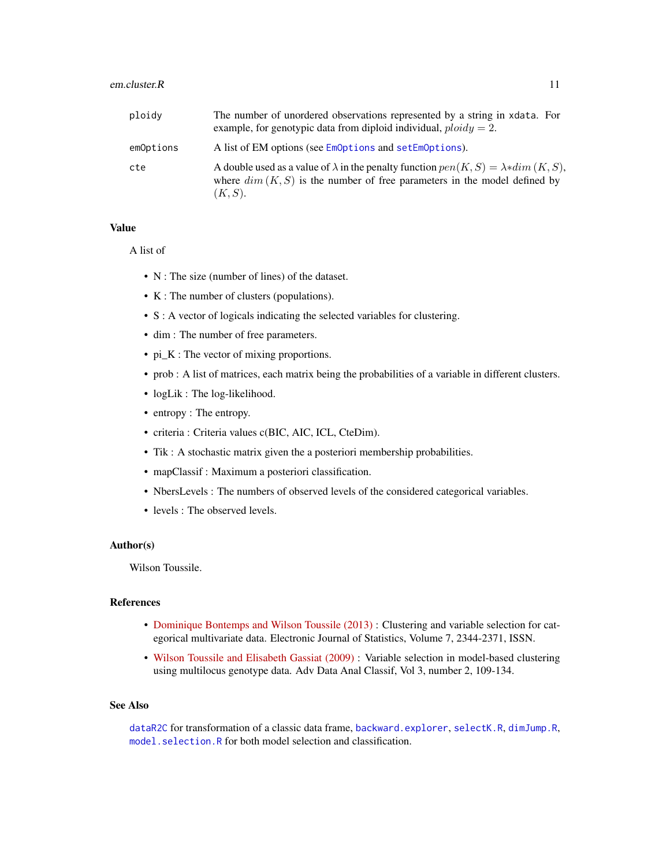#### <span id="page-10-0"></span>em.cluster.R 11

| ploidy    | The number of unordered observations represented by a string in xdata. For<br>example, for genotypic data from diploid individual, $ploidy = 2$ .                                             |
|-----------|-----------------------------------------------------------------------------------------------------------------------------------------------------------------------------------------------|
| emOptions | A list of EM options (see EmOptions and setEmOptions).                                                                                                                                        |
| cte       | A double used as a value of $\lambda$ in the penalty function $pen(K, S) = \lambda * dim(K, S)$ ,<br>where $dim(K, S)$ is the number of free parameters in the model defined by<br>$(K, S)$ . |

#### Value

## A list of

- N : The size (number of lines) of the dataset.
- K : The number of clusters (populations).
- S : A vector of logicals indicating the selected variables for clustering.
- dim : The number of free parameters.
- pi\_K : The vector of mixing proportions.
- prob : A list of matrices, each matrix being the probabilities of a variable in different clusters.
- logLik: The log-likelihood.
- entropy : The entropy.
- criteria : Criteria values c(BIC, AIC, ICL, CteDim).
- Tik : A stochastic matrix given the a posteriori membership probabilities.
- mapClassif : Maximum a posteriori classification.
- NbersLevels : The numbers of observed levels of the considered categorical variables.
- levels : The observed levels.

## Author(s)

Wilson Toussile.

# References

- [Dominique Bontemps and Wilson Toussile \(2013\)](http://projecteuclid.org/euclid.ejs/1379596773) : Clustering and variable selection for categorical multivariate data. Electronic Journal of Statistics, Volume 7, 2344-2371, ISSN.
- [Wilson Toussile and Elisabeth Gassiat \(2009\)](http://link.springer.com/article/10.1007%2Fs11634-009-0043-x) : Variable selection in model-based clustering using multilocus genotype data. Adv Data Anal Classif, Vol 3, number 2, 109-134.

#### See Also

[dataR2C](#page-7-1) for transformation of a classic data frame, [backward.explorer](#page-4-1), [selectK.R](#page-24-1), [dimJump.R](#page-8-1), [model.selection.R](#page-19-1) for both model selection and classification.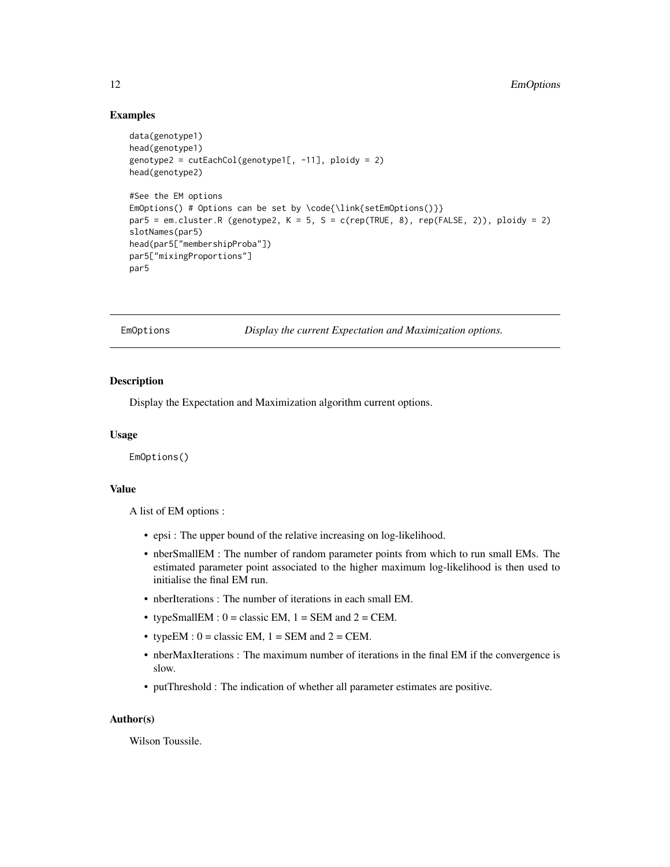## Examples

```
data(genotype1)
head(genotype1)
genotype2 = cutEachCol(genotype1[, -11], ploidy = 2)head(genotype2)
#See the EM options
EmOptions() # Options can be set by \code{\link{setEmOptions()}}
par5 = em. cluster.R (genotype2, K = 5, S = c(rep(TRUE, 8), rep(FALEE, 2)), ploidy = 2)slotNames(par5)
head(par5["membershipProba"])
par5["mixingProportions"]
par5
```
<span id="page-11-1"></span>EmOptions *Display the current Expectation and Maximization options.*

#### **Description**

Display the Expectation and Maximization algorithm current options.

#### Usage

EmOptions()

# Value

A list of EM options :

- epsi : The upper bound of the relative increasing on log-likelihood.
- nberSmallEM : The number of random parameter points from which to run small EMs. The estimated parameter point associated to the higher maximum log-likelihood is then used to initialise the final EM run.
- nberIterations : The number of iterations in each small EM.
- typeSmallEM :  $0 =$  classic EM,  $1 =$  SEM and  $2 =$  CEM.
- typeEM :  $0 =$  classic EM,  $1 =$  SEM and  $2 =$  CEM.
- nberMaxIterations : The maximum number of iterations in the final EM if the convergence is slow.
- putThreshold : The indication of whether all parameter estimates are positive.

#### Author(s)

Wilson Toussile.

<span id="page-11-0"></span>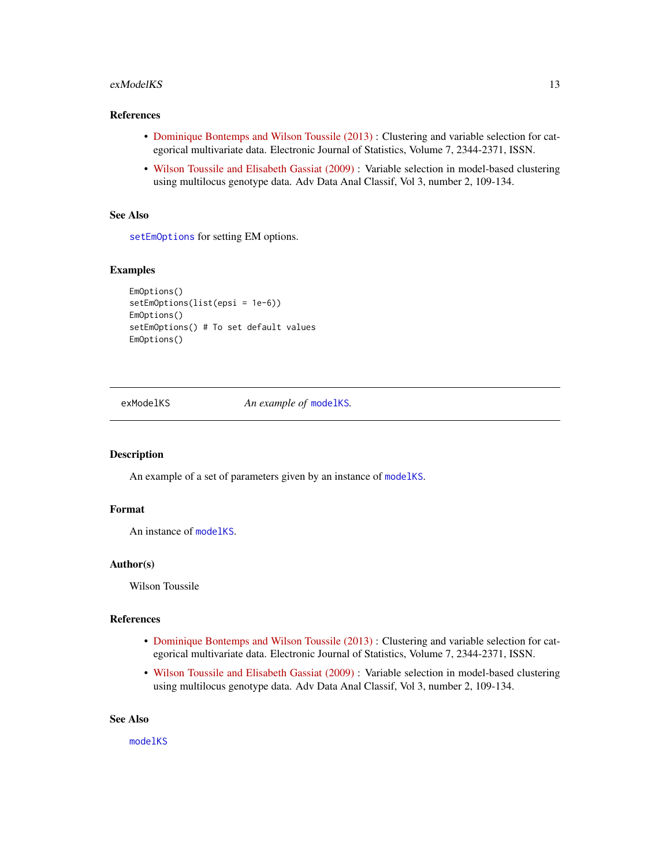#### <span id="page-12-0"></span>exModelKS 13

## References

- [Dominique Bontemps and Wilson Toussile \(2013\)](http://projecteuclid.org/euclid.ejs/1379596773) : Clustering and variable selection for categorical multivariate data. Electronic Journal of Statistics, Volume 7, 2344-2371, ISSN.
- [Wilson Toussile and Elisabeth Gassiat \(2009\)](http://link.springer.com/article/10.1007%2Fs11634-009-0043-x) : Variable selection in model-based clustering using multilocus genotype data. Adv Data Anal Classif, Vol 3, number 2, 109-134.

# See Also

[setEmOptions](#page-25-1) for setting EM options.

# Examples

```
EmOptions()
setEmOptions(list(epsi = 1e-6))
EmOptions()
setEmOptions() # To set default values
EmOptions()
```
<span id="page-12-1"></span>

exModelKS *An example of* [modelKS](#page-20-1)*.*

#### Description

An example of a set of parameters given by an instance of [modelKS](#page-20-1).

## Format

An instance of [modelKS](#page-20-1).

#### Author(s)

Wilson Toussile

## References

- [Dominique Bontemps and Wilson Toussile \(2013\)](http://projecteuclid.org/euclid.ejs/1379596773) : Clustering and variable selection for categorical multivariate data. Electronic Journal of Statistics, Volume 7, 2344-2371, ISSN.
- [Wilson Toussile and Elisabeth Gassiat \(2009\)](http://link.springer.com/article/10.1007%2Fs11634-009-0043-x) : Variable selection in model-based clustering using multilocus genotype data. Adv Data Anal Classif, Vol 3, number 2, 109-134.

#### See Also

[modelKS](#page-20-1)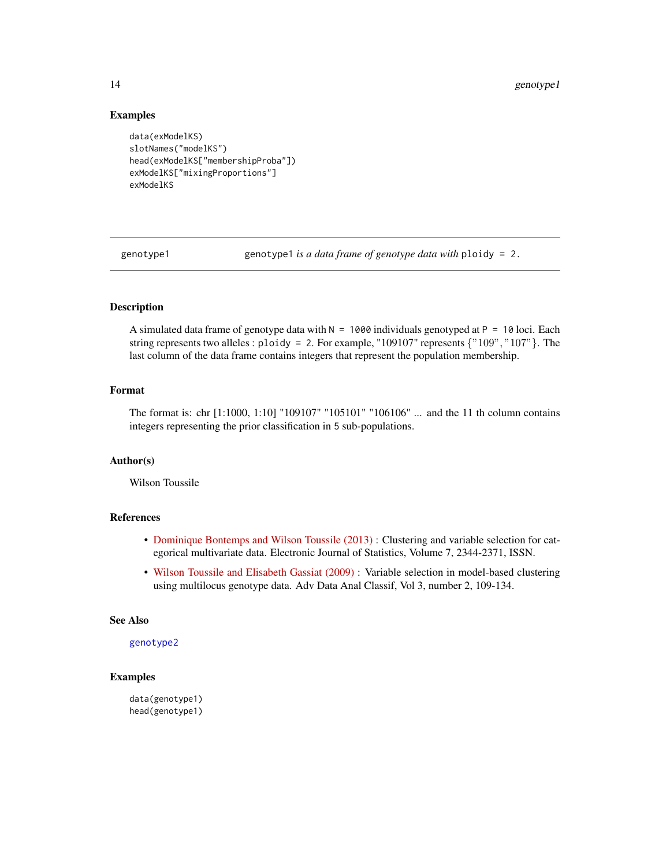#### Examples

```
data(exModelKS)
slotNames("modelKS")
head(exModelKS["membershipProba"])
exModelKS["mixingProportions"]
exModelKS
```
<span id="page-13-1"></span>genotype1 genotype1 *is a data frame of genotype data with* ploidy = 2.

# Description

A simulated data frame of genotype data with  $N = 1000$  individuals genotyped at P = 10 loci. Each string represents two alleles : ploidy = 2. For example, "109107" represents  $\{$  "109", "107"  $\}$ . The last column of the data frame contains integers that represent the population membership.

# Format

The format is: chr [1:1000, 1:10] "109107" "105101" "106106" ... and the 11 th column contains integers representing the prior classification in 5 sub-populations.

# Author(s)

Wilson Toussile

# References

- [Dominique Bontemps and Wilson Toussile \(2013\)](http://projecteuclid.org/euclid.ejs/1379596773) : Clustering and variable selection for categorical multivariate data. Electronic Journal of Statistics, Volume 7, 2344-2371, ISSN.
- [Wilson Toussile and Elisabeth Gassiat \(2009\)](http://link.springer.com/article/10.1007%2Fs11634-009-0043-x) : Variable selection in model-based clustering using multilocus genotype data. Adv Data Anal Classif, Vol 3, number 2, 109-134.

#### See Also

## [genotype2](#page-14-1)

# Examples

data(genotype1) head(genotype1)

<span id="page-13-0"></span>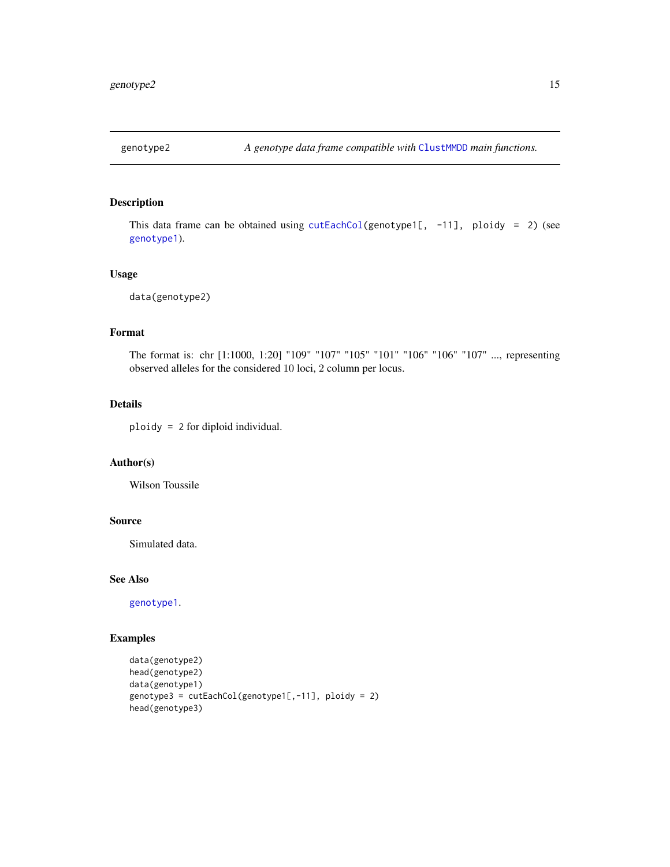<span id="page-14-1"></span><span id="page-14-0"></span>

# Description

This data frame can be obtained using  $cutEachCol(genotype1[, -11], ploidy = 2)$  $cutEachCol(genotype1[, -11], ploidy = 2)$  (see [genotype1](#page-13-1)).

#### Usage

data(genotype2)

# Format

The format is: chr [1:1000, 1:20] "109" "107" "105" "101" "106" "106" "107" ..., representing observed alleles for the considered 10 loci, 2 column per locus.

# Details

ploidy = 2 for diploid individual.

# Author(s)

Wilson Toussile

## Source

Simulated data.

#### See Also

[genotype1](#page-13-1).

# Examples

```
data(genotype2)
head(genotype2)
data(genotype1)
genotype3 = cutEachCol(genotype1[,-11], ploidy = 2)
head(genotype3)
```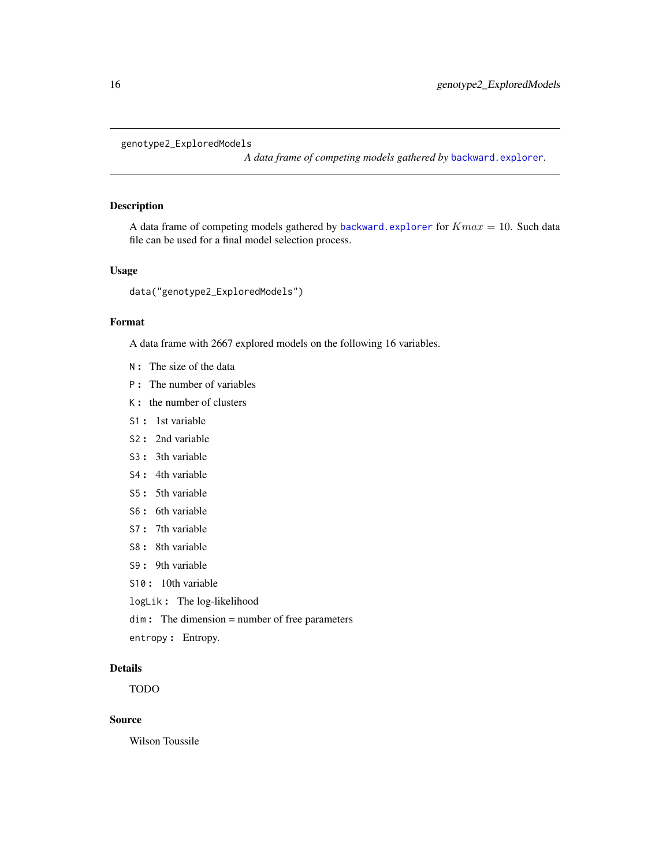```
genotype2_ExploredModels
```
*A data frame of competing models gathered by* [backward.explorer](#page-4-1)*.*

## Description

A data frame of competing models gathered by [backward.explorer](#page-4-1) for  $Kmax = 10$ . Such data file can be used for a final model selection process.

# Usage

```
data("genotype2_ExploredModels")
```
## Format

A data frame with 2667 explored models on the following 16 variables.

- N : The size of the data
- P : The number of variables
- K : the number of clusters
- S1 : 1st variable
- S2 : 2nd variable
- S3 : 3th variable
- S4 : 4th variable
- S5 : 5th variable
- S6 : 6th variable
- S7: 7th variable
- S8 : 8th variable
- S9 : 9th variable
- S10 : 10th variable
- logLik : The log-likelihood
- dim : The dimension = number of free parameters
- entropy : Entropy.

## Details

TODO

# Source

Wilson Toussile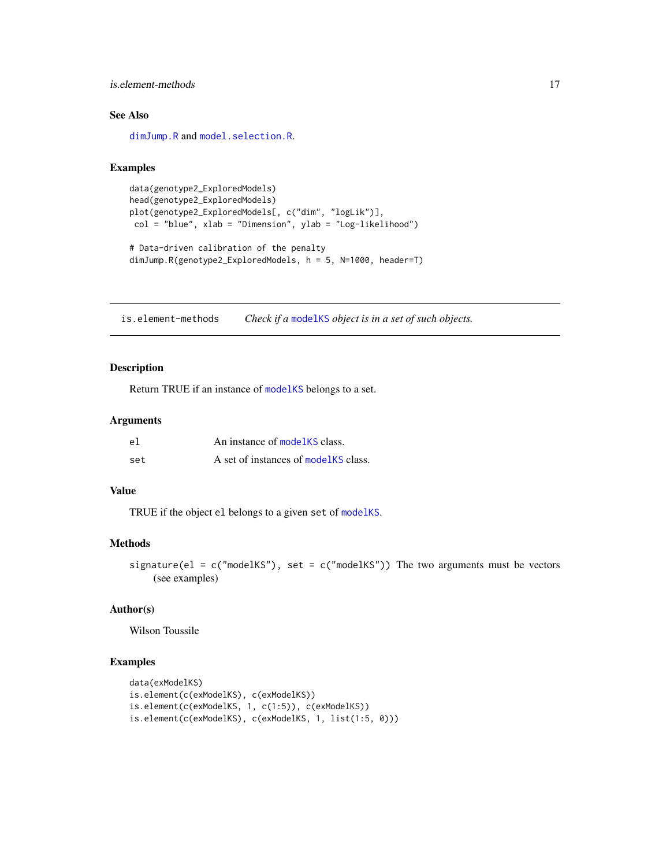## <span id="page-16-0"></span>is.element-methods 17

# See Also

[dimJump.R](#page-8-1) and [model.selection.R](#page-19-1).

#### Examples

```
data(genotype2_ExploredModels)
head(genotype2_ExploredModels)
plot(genotype2_ExploredModels[, c("dim", "logLik")],
col = "blue", xlab = "Dimension", ylab = "Log-likelihood")
# Data-driven calibration of the penalty
dimJump.R(genotype2_ExploredModels, h = 5, N=1000, header=T)
```
is.element-methods *Check if a* [modelKS](#page-20-1) *object is in a set of such objects.*

# Description

Return TRUE if an instance of [modelKS](#page-20-1) belongs to a set.

# Arguments

| el  | An instance of modelKS class.         |
|-----|---------------------------------------|
| set | A set of instances of model KS class. |

#### Value

TRUE if the object el belongs to a given set of [modelKS](#page-20-1).

## Methods

```
signature(el = c("modelKS"), set = c("modelKS")) The two arguments must be vectors
    (see examples)
```
# Author(s)

Wilson Toussile

# Examples

```
data(exModelKS)
is.element(c(exModelKS), c(exModelKS))
is.element(c(exModelKS, 1, c(1:5)), c(exModelKS))
is.element(c(exModelKS), c(exModelKS, 1, list(1:5, 0)))
```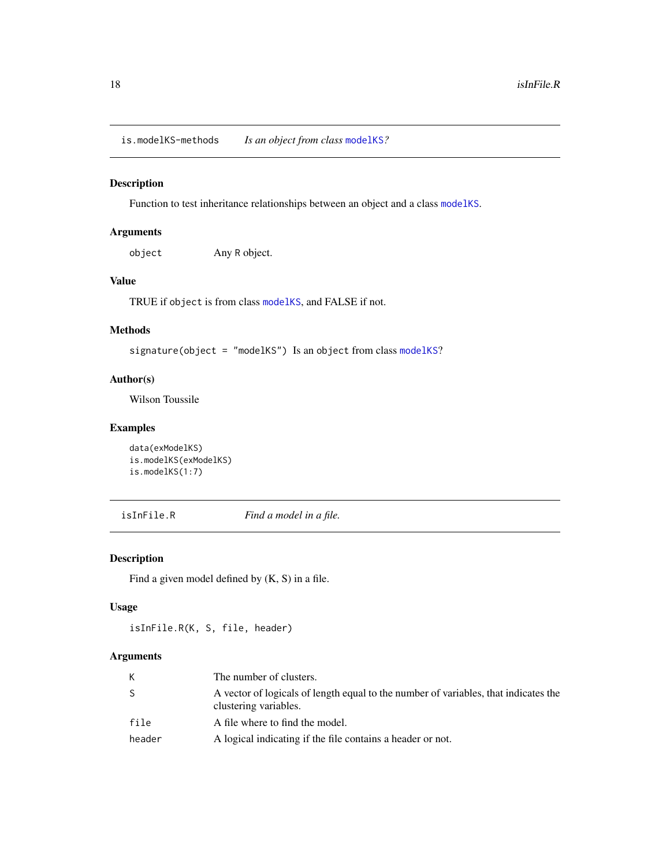<span id="page-17-0"></span>is.modelKS-methods *Is an object from class* [modelKS](#page-20-1)*?*

# Description

Function to test inheritance relationships between an object and a class [modelKS](#page-20-1).

# Arguments

object Any R object.

# Value

TRUE if object is from class [modelKS](#page-20-1), and FALSE if not.

## Methods

signature(object = "modelKS") Is an object from class [modelKS](#page-20-1)?

## Author(s)

Wilson Toussile

#### Examples

```
data(exModelKS)
is.modelKS(exModelKS)
is.modelKS(1:7)
```
isInFile.R *Find a model in a file.*

## Description

Find a given model defined by (K, S) in a file.

# Usage

isInFile.R(K, S, file, header)

## Arguments

| К            | The number of clusters.                                                                                      |
|--------------|--------------------------------------------------------------------------------------------------------------|
| <sub>S</sub> | A vector of logicals of length equal to the number of variables, that indicates the<br>clustering variables. |
| file         | A file where to find the model.                                                                              |
| header       | A logical indicating if the file contains a header or not.                                                   |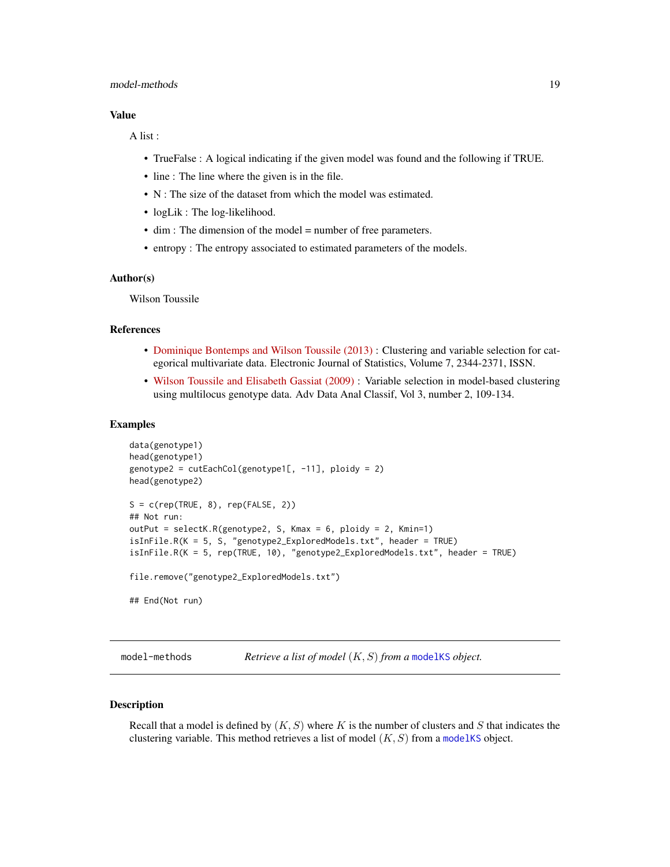## <span id="page-18-0"></span>model-methods 19

#### Value

A list :

- TrueFalse : A logical indicating if the given model was found and the following if TRUE.
- line : The line where the given is in the file.
- N : The size of the dataset from which the model was estimated.
- logLik : The log-likelihood.
- dim : The dimension of the model = number of free parameters.
- entropy : The entropy associated to estimated parameters of the models.

# Author(s)

Wilson Toussile

#### References

- [Dominique Bontemps and Wilson Toussile \(2013\)](http://projecteuclid.org/euclid.ejs/1379596773) : Clustering and variable selection for categorical multivariate data. Electronic Journal of Statistics, Volume 7, 2344-2371, ISSN.
- [Wilson Toussile and Elisabeth Gassiat \(2009\)](http://link.springer.com/article/10.1007%2Fs11634-009-0043-x) : Variable selection in model-based clustering using multilocus genotype data. Adv Data Anal Classif, Vol 3, number 2, 109-134.

#### Examples

```
data(genotype1)
head(genotype1)
genotype2 = cutEachCol(genotype1[, -11], ploidy = 2)
head(genotype2)
S = c(rep(TRUE, 8), rep(FALE, 2))## Not run:
outPut = selectK.R(genotype2, S, Kmax = 6, ploidy = 2, Kmin=1)
isInFile.R(K = 5, S, "genotype2_ExploredModels.txt", header = TRUE)
isInFile.R(K = 5, rep(TRUE, 10), "genotype2_ExploredModels.txt", header = TRUE)
file.remove("genotype2_ExploredModels.txt")
## End(Not run)
```
model-methods *Retrieve a list of model* (K, S) *from a* [modelKS](#page-20-1) *object.*

# Description

Recall that a model is defined by  $(K, S)$  where K is the number of clusters and S that indicates the clustering variable. This method retrieves a list of model  $(K, S)$  from a [modelKS](#page-20-1) object.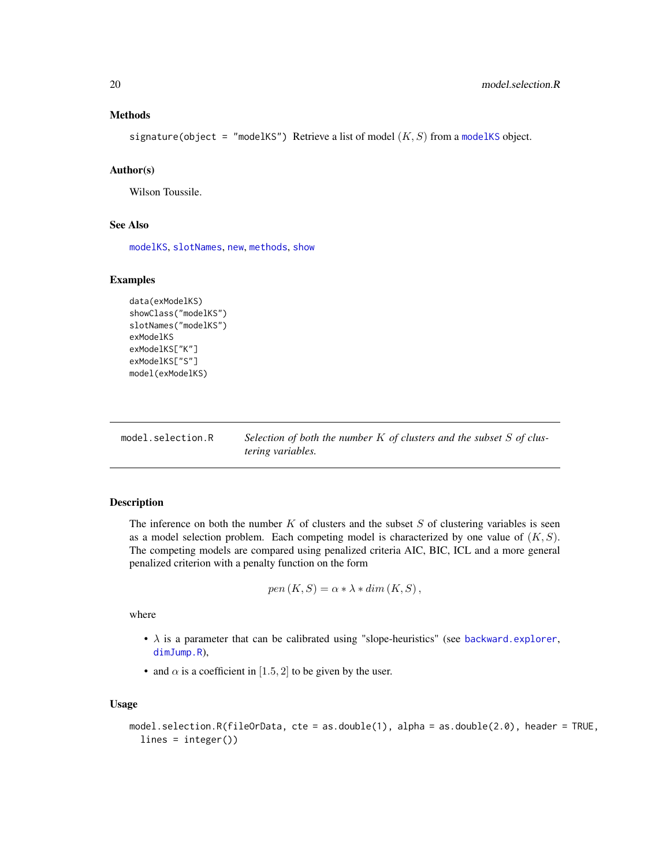## <span id="page-19-0"></span>Methods

signature(object = "[modelKS](#page-20-1)") Retrieve a list of model  $(K, S)$  from a modelKS object.

#### Author(s)

Wilson Toussile.

#### See Also

[modelKS](#page-20-1), [slotNames](#page-0-0), [new](#page-0-0), [methods](#page-0-0), [show](#page-27-1)

#### Examples

```
data(exModelKS)
showClass("modelKS")
slotNames("modelKS")
exModelKS
exModelKS["K"]
exModelKS["S"]
model(exModelKS)
```
<span id="page-19-1"></span>model.selection.R *Selection of both the number* K *of clusters and the subset* S *of clustering variables.*

#### Description

The inference on both the number  $K$  of clusters and the subset  $S$  of clustering variables is seen as a model selection problem. Each competing model is characterized by one value of  $(K, S)$ . The competing models are compared using penalized criteria AIC, BIC, ICL and a more general penalized criterion with a penalty function on the form

$$
pen(K, S) = \alpha * \lambda * dim(K, S),
$$

where

- $\lambda$  is a parameter that can be calibrated using "slope-heuristics" (see [backward.explorer](#page-4-1), [dimJump.R](#page-8-1)),
- and  $\alpha$  is a coefficient in [1.5, 2] to be given by the user.

#### Usage

```
model.selection.R(fileOrData, cte = as.double(1), alpha = as.double(2.0), header = TRUE,
  lines = integer())
```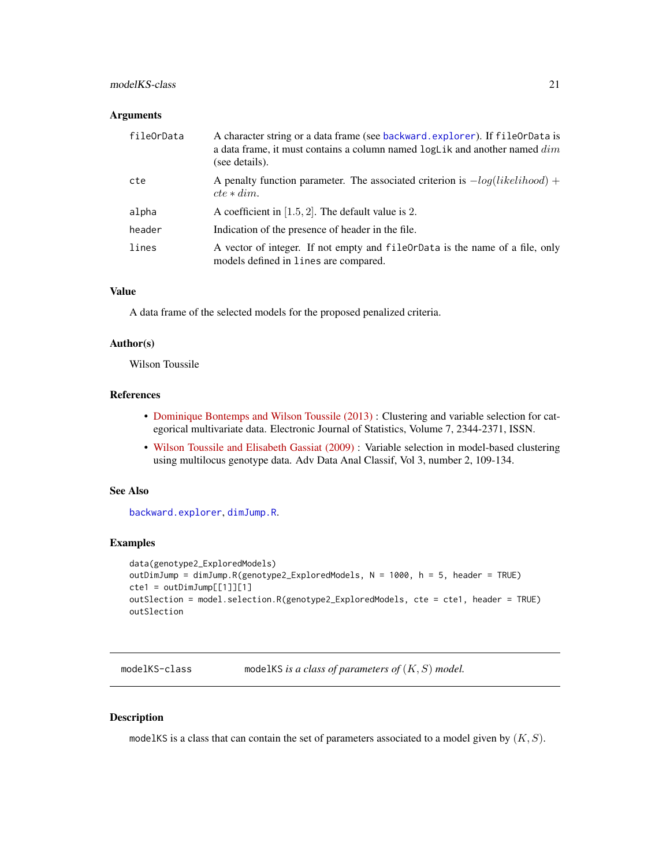# <span id="page-20-0"></span>modelKS-class 21

#### **Arguments**

| fileOrData | A character string or a data frame (see backward. explorer). If fileOrData is<br>a data frame, it must contains a column named $logLik$ and another named $dim$<br>(see details). |
|------------|-----------------------------------------------------------------------------------------------------------------------------------------------------------------------------------|
| cte        | A penalty function parameter. The associated criterion is $-log(likelihood) +$<br>$cte * dim.$                                                                                    |
| alpha      | A coefficient in $[1.5, 2]$ . The default value is 2.                                                                                                                             |
| header     | Indication of the presence of header in the file.                                                                                                                                 |
| lines      | A vector of integer. If not empty and fileOrData is the name of a file, only<br>models defined in lines are compared.                                                             |

#### Value

A data frame of the selected models for the proposed penalized criteria.

#### Author(s)

Wilson Toussile

## References

- [Dominique Bontemps and Wilson Toussile \(2013\)](http://projecteuclid.org/euclid.ejs/1379596773) : Clustering and variable selection for categorical multivariate data. Electronic Journal of Statistics, Volume 7, 2344-2371, ISSN.
- [Wilson Toussile and Elisabeth Gassiat \(2009\)](http://link.springer.com/article/10.1007%2Fs11634-009-0043-x) : Variable selection in model-based clustering using multilocus genotype data. Adv Data Anal Classif, Vol 3, number 2, 109-134.

#### See Also

[backward.explorer](#page-4-1), [dimJump.R](#page-8-1).

# Examples

```
data(genotype2_ExploredModels)
outDimJump = dimJump.R(genotype2_ExploredModels, N = 1000, h = 5, header = TRUE)
cte1 = outDimJump[[1]][1]outSlection = model.selection.R(genotype2_ExploredModels, cte = cte1, header = TRUE)
outSlection
```
<span id="page-20-1"></span>modelKS-class modelKS *is a class of parameters of* (K, S) *model.*

# Description

modelKS is a class that can contain the set of parameters associated to a model given by  $(K, S)$ .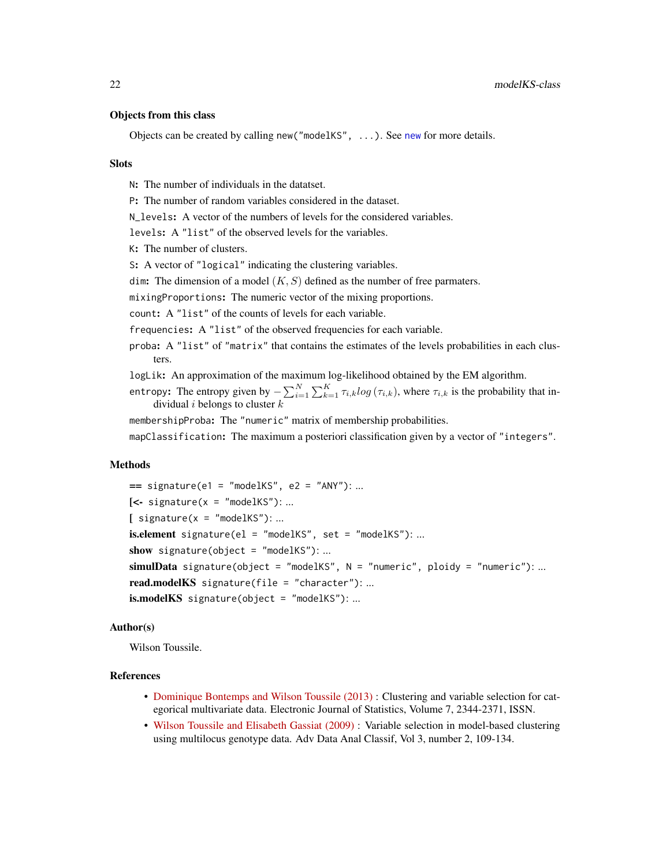#### <span id="page-21-0"></span>Objects from this class

Objects can be created by calling [new](#page-0-0) ("modelKS", ...). See new for more details.

#### Slots

N: The number of individuals in the datatset.

P: The number of random variables considered in the dataset.

N<sub>levels:</sub> A vector of the numbers of levels for the considered variables.

levels: A "list" of the observed levels for the variables.

K: The number of clusters.

S: A vector of "logical" indicating the clustering variables.

dim: The dimension of a model  $(K, S)$  defined as the number of free parmaters.

mixingProportions: The numeric vector of the mixing proportions.

count: A "list" of the counts of levels for each variable.

frequencies: A "list" of the observed frequencies for each variable.

- proba: A "list" of "matrix" that contains the estimates of the levels probabilities in each clusters.
- logLik: An approximation of the maximum log-likelihood obtained by the EM algorithm.
- entropy: The entropy given by  $-\sum_{i=1}^{N} \sum_{k=1}^{K} \tau_{i,k} log(\tau_{i,k})$ , where  $\tau_{i,k}$  is the probability that individual *i* belongs to cluster  $k$

membershipProba: The "numeric" matrix of membership probabilities.

mapClassification: The maximum a posteriori classification given by a vector of "integers".

#### Methods

```
== signature(e1 = "modelKS", e2 = "ANY"): ...
\left[ \left\langle -\right\rangle signature(x = "modelKS"): ...
[ signature(x = "modelKS"): ...
is. element signature(el = "modelKS", set = "modelKS"): ...
show signature(object = "modelKS"): ...
simulData signature(object = "modelKS", N = "numeric", ploidy = "numeric"): ...
read.modelKS signature(file = "character"): ...
is.modelKS signature(object = "modelKS"): ...
```
## Author(s)

Wilson Toussile.

#### References

- [Dominique Bontemps and Wilson Toussile \(2013\)](http://projecteuclid.org/euclid.ejs/1379596773) : Clustering and variable selection for categorical multivariate data. Electronic Journal of Statistics, Volume 7, 2344-2371, ISSN.
- [Wilson Toussile and Elisabeth Gassiat \(2009\)](http://link.springer.com/article/10.1007%2Fs11634-009-0043-x) : Variable selection in model-based clustering using multilocus genotype data. Adv Data Anal Classif, Vol 3, number 2, 109-134.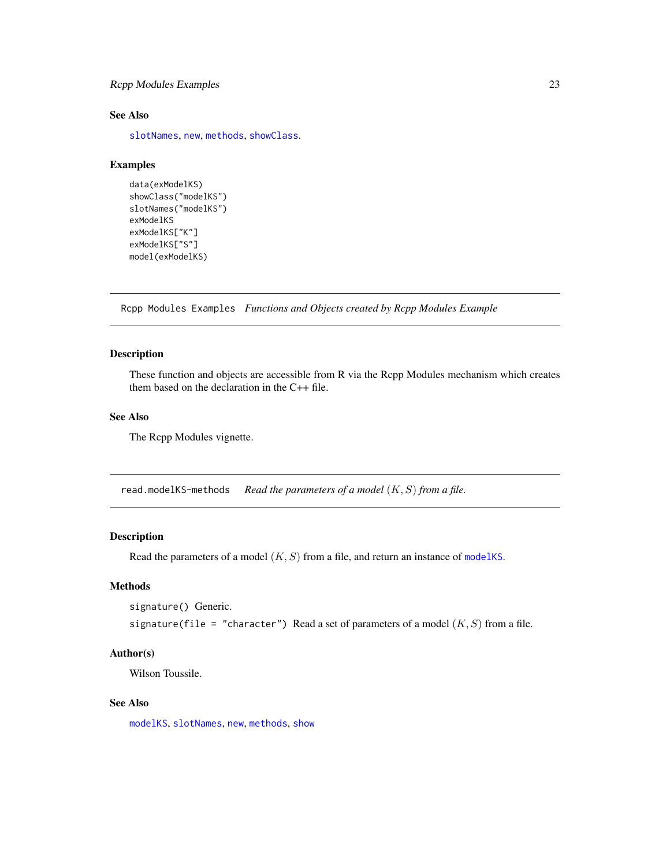# <span id="page-22-0"></span>Rcpp Modules Examples 23

# See Also

[slotNames](#page-0-0), [new](#page-0-0), [methods](#page-0-0), [showClass](#page-0-0).

#### Examples

```
data(exModelKS)
showClass("modelKS")
slotNames("modelKS")
exModelKS
exModelKS["K"]
exModelKS["S"]
model(exModelKS)
```
Rcpp Modules Examples *Functions and Objects created by Rcpp Modules Example*

#### Description

These function and objects are accessible from R via the Rcpp Modules mechanism which creates them based on the declaration in the C++ file.

# See Also

The Rcpp Modules vignette.

read.modelKS-methods *Read the parameters of a model* (K, S) *from a file.*

## Description

Read the parameters of a model  $(K, S)$  from a file, and return an instance of [modelKS](#page-20-1).

## Methods

```
signature() Generic.
```
signature(file = "character") Read a set of parameters of a model  $(K, S)$  from a file.

#### Author(s)

Wilson Toussile.

# See Also

[modelKS](#page-20-1), [slotNames](#page-0-0), [new](#page-0-0), [methods](#page-0-0), [show](#page-27-1)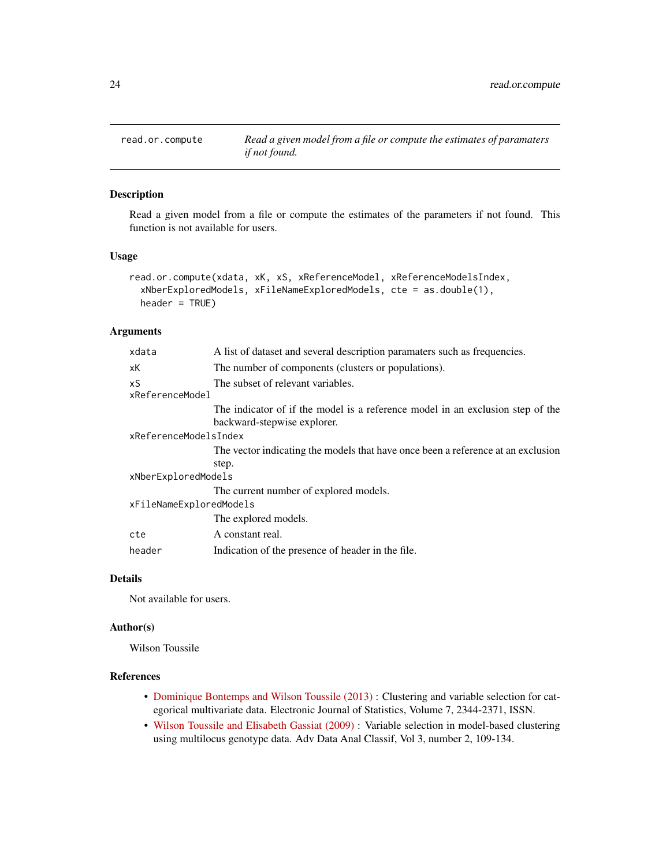<span id="page-23-0"></span>

# Description

Read a given model from a file or compute the estimates of the parameters if not found. This function is not available for users.

#### Usage

```
read.or.compute(xdata, xK, xS, xReferenceModel, xReferenceModelsIndex,
  xNberExploredModels, xFileNameExploredModels, cte = as.double(1),
 header = TRUE)
```
# Arguments

| xdata                   | A list of dataset and several description paramaters such as frequencies.                                     |
|-------------------------|---------------------------------------------------------------------------------------------------------------|
| хK                      | The number of components (clusters or populations).                                                           |
| xS<br>xReferenceModel   | The subset of relevant variables.                                                                             |
|                         | The indicator of if the model is a reference model in an exclusion step of the<br>backward-stepwise explorer. |
| xReferenceModelsIndex   |                                                                                                               |
|                         | The vector indicating the models that have once been a reference at an exclusion                              |
|                         | step.                                                                                                         |
| xNberExploredModels     |                                                                                                               |
|                         | The current number of explored models.                                                                        |
| xFileNameExploredModels |                                                                                                               |
|                         | The explored models.                                                                                          |
| cte                     | A constant real.                                                                                              |
| header                  | Indication of the presence of header in the file.                                                             |
|                         |                                                                                                               |

## Details

Not available for users.

#### Author(s)

Wilson Toussile

# References

- [Dominique Bontemps and Wilson Toussile \(2013\)](http://projecteuclid.org/euclid.ejs/1379596773) : Clustering and variable selection for categorical multivariate data. Electronic Journal of Statistics, Volume 7, 2344-2371, ISSN.
- [Wilson Toussile and Elisabeth Gassiat \(2009\)](http://link.springer.com/article/10.1007%2Fs11634-009-0043-x) : Variable selection in model-based clustering using multilocus genotype data. Adv Data Anal Classif, Vol 3, number 2, 109-134.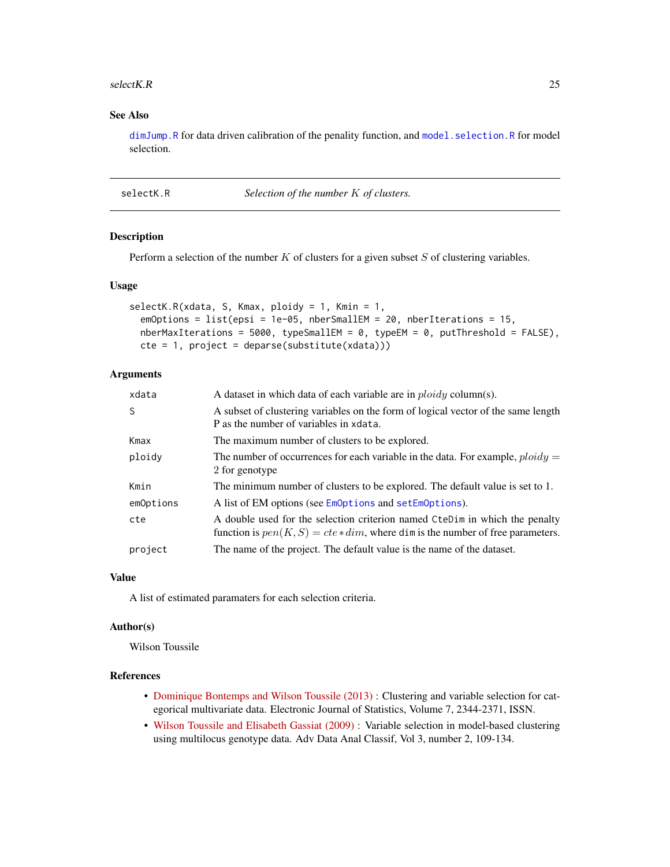#### <span id="page-24-0"></span>selectK.R 25

# See Also

[dimJump.R](#page-8-1) for data driven calibration of the penality function, and [model.selection.R](#page-19-1) for model selection.

<span id="page-24-1"></span>selectK.R *Selection of the number* K *of clusters.*

#### Description

Perform a selection of the number  $K$  of clusters for a given subset  $S$  of clustering variables.

#### Usage

```
selectK.R(xdata, S, Kmax, ploidy = 1, Kmin = 1,
  emOptions = list(epsi = 1e-05, nberSmallEM = 20, nberIterations = 15,
 nberMaxIterations = 5000, typeSmallEM = 0, typeEM = 0, putThreshold = FALSE),
 cte = 1, project = deparse(substitute(xdata)))
```
## Arguments

| xdata     | A dataset in which data of each variable are in $ploidy$ column(s).                                                                                              |
|-----------|------------------------------------------------------------------------------------------------------------------------------------------------------------------|
| S         | A subset of clustering variables on the form of logical vector of the same length<br>P as the number of variables in xdata.                                      |
| Kmax      | The maximum number of clusters to be explored.                                                                                                                   |
| ploidy    | The number of occurrences for each variable in the data. For example, $ploidy =$<br>2 for genotype                                                               |
| Kmin      | The minimum number of clusters to be explored. The default value is set to 1.                                                                                    |
| emOptions | A list of EM options (see EmOptions and setEmOptions).                                                                                                           |
| cte       | A double used for the selection criterion named CteDim in which the penalty<br>function is $pen(K, S) = cte * dim$ , where dim is the number of free parameters. |
| project   | The name of the project. The default value is the name of the dataset.                                                                                           |

#### Value

A list of estimated paramaters for each selection criteria.

#### Author(s)

Wilson Toussile

# References

- [Dominique Bontemps and Wilson Toussile \(2013\)](http://projecteuclid.org/euclid.ejs/1379596773) : Clustering and variable selection for categorical multivariate data. Electronic Journal of Statistics, Volume 7, 2344-2371, ISSN.
- [Wilson Toussile and Elisabeth Gassiat \(2009\)](http://link.springer.com/article/10.1007%2Fs11634-009-0043-x) : Variable selection in model-based clustering using multilocus genotype data. Adv Data Anal Classif, Vol 3, number 2, 109-134.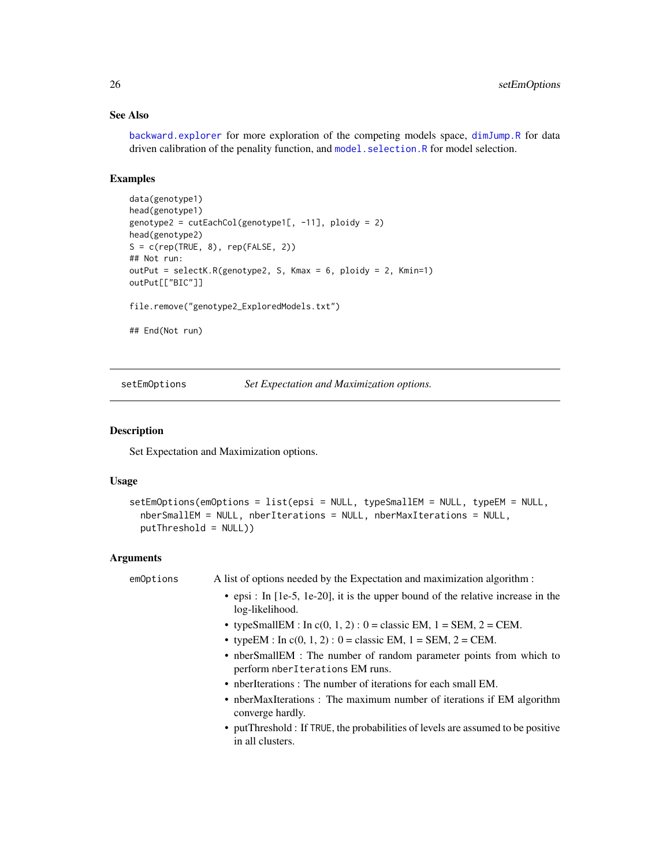# See Also

[backward.explorer](#page-4-1) for more exploration of the competing models space, [dimJump.R](#page-8-1) for data driven calibration of the penality function, and model. selection. R for model selection.

## Examples

```
data(genotype1)
head(genotype1)
genotype2 = cutEachCol(genotype1[, -11], ploidy = 2)
head(genotype2)
S = c(rep(TRUE, 8), rep(FALSE, 2))## Not run:
outPut = selectK.R(genotype2, S, Kmax = 6, ploidy = 2, Kmin=1)
outPut[["BIC"]]
file.remove("genotype2_ExploredModels.txt")
```
## End(Not run)

<span id="page-25-1"></span>setEmOptions *Set Expectation and Maximization options.*

#### Description

Set Expectation and Maximization options.

## Usage

```
setEmOptions(emOptions = list(epsi = NULL, typeSmallEM = NULL, typeEM = NULL,
 nberSmallEM = NULL, nberIterations = NULL, nberMaxIterations = NULL,
 putThreshold = NULL))
```
## Arguments

| emOptions | A list of options needed by the Expectation and maximization algorithm :                               |
|-----------|--------------------------------------------------------------------------------------------------------|
|           | • epsi : In $[1e-5, 1e-20]$ , it is the upper bound of the relative increase in the<br>log-likelihood. |
|           | • typeSmallEM : In $c(0, 1, 2)$ : 0 = classic EM, 1 = SEM, 2 = CEM.                                    |
|           | • typeEM : In $c(0, 1, 2)$ : 0 = classic EM, 1 = SEM, 2 = CEM.                                         |
|           | • nberSmallEM : The number of random parameter points from which to<br>perform nberIterations EM runs. |
|           | • nberIterations : The number of iterations for each small EM.                                         |
|           | • nberMaxIterations : The maximum number of iterations if EM algorithm<br>converge hardly.             |
|           | • put Threshold: If TRUE, the probabilities of levels are assumed to be positive<br>in all clusters.   |

<span id="page-25-0"></span>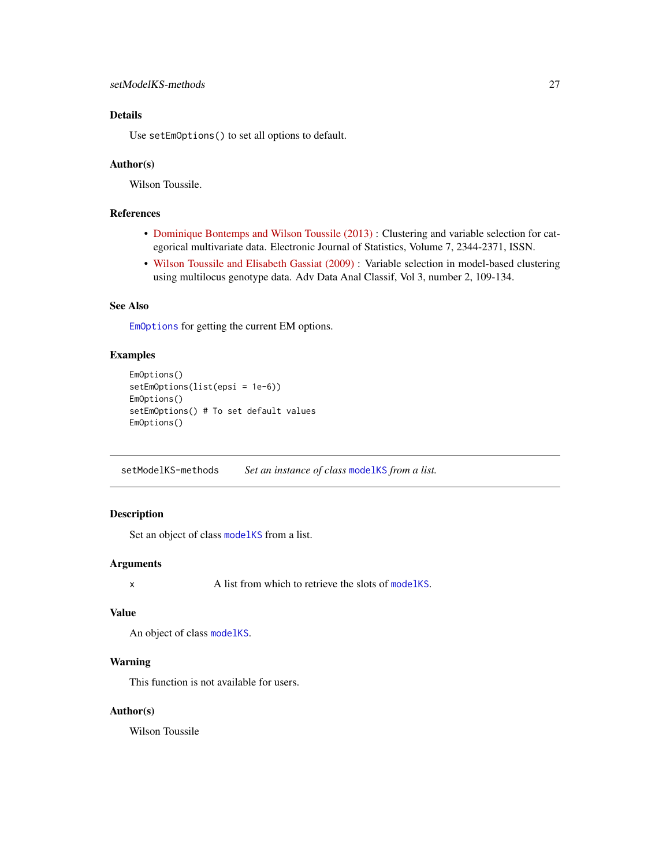# <span id="page-26-0"></span>Details

Use setEmOptions() to set all options to default.

#### Author(s)

Wilson Toussile.

# References

- [Dominique Bontemps and Wilson Toussile \(2013\)](http://projecteuclid.org/euclid.ejs/1379596773) : Clustering and variable selection for categorical multivariate data. Electronic Journal of Statistics, Volume 7, 2344-2371, ISSN.
- [Wilson Toussile and Elisabeth Gassiat \(2009\)](http://link.springer.com/article/10.1007%2Fs11634-009-0043-x) : Variable selection in model-based clustering using multilocus genotype data. Adv Data Anal Classif, Vol 3, number 2, 109-134.

## See Also

[EmOptions](#page-11-1) for getting the current EM options.

# Examples

```
EmOptions()
setEmOptions(list(epsi = 1e-6))
EmOptions()
setEmOptions() # To set default values
EmOptions()
```
setModelKS-methods *Set an instance of class* [modelKS](#page-20-1) *from a list.*

# Description

Set an object of class [modelKS](#page-20-1) from a list.

#### Arguments

x A list from which to retrieve the slots of [modelKS](#page-20-1).

#### Value

An object of class [modelKS](#page-20-1).

#### Warning

This function is not available for users.

#### Author(s)

Wilson Toussile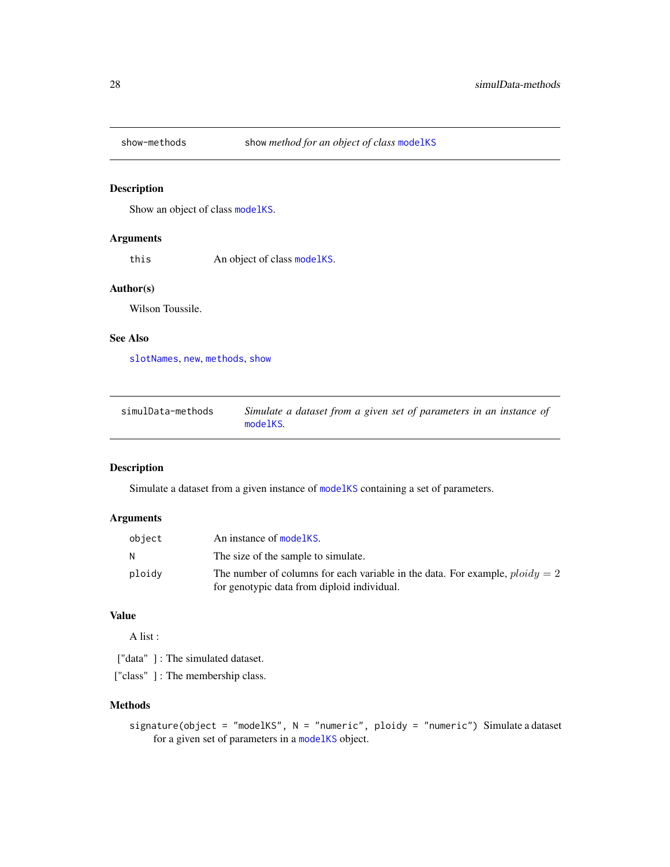<span id="page-27-0"></span>

# <span id="page-27-1"></span>Description

Show an object of class [modelKS](#page-20-1).

# Arguments

this An object of class [modelKS](#page-20-1).

#### Author(s)

Wilson Toussile.

# See Also

[slotNames](#page-0-0), [new](#page-0-0), [methods](#page-0-0), [show](#page-27-1)

| simulData-methods | Simulate a dataset from a given set of parameters in an instance of |
|-------------------|---------------------------------------------------------------------|
|                   | modelKS.                                                            |

# Description

Simulate a dataset from a given instance of [modelKS](#page-20-1) containing a set of parameters.

# Arguments

| object | An instance of modelKS.                                                                                                       |
|--------|-------------------------------------------------------------------------------------------------------------------------------|
| - N    | The size of the sample to simulate.                                                                                           |
| ploidy | The number of columns for each variable in the data. For example, $ploidy = 2$<br>for genotypic data from diploid individual. |

# Value

A list :

["data"]: The simulated dataset.

["class"] : The membership class.

## Methods

signature(object = "modelKS", N = "numeric", ploidy = "numeric") Simulate a dataset for a given set of parameters in a [modelKS](#page-20-1) object.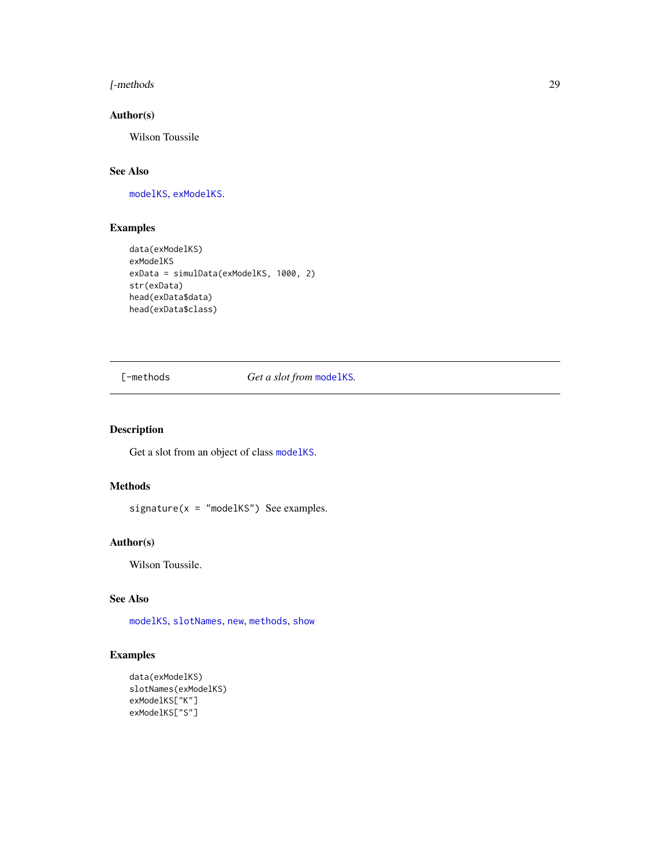#### <span id="page-28-0"></span>[-methods 29

# Author(s)

Wilson Toussile

# See Also

[modelKS](#page-20-1), [exModelKS](#page-12-1).

# Examples

```
data(exModelKS)
exModelKS
exData = simulData(exModelKS, 1000, 2)
str(exData)
head(exData$data)
head(exData$class)
```
[-methods *Get a slot from* [modelKS](#page-20-1)*.*

#### Description

Get a slot from an object of class [modelKS](#page-20-1).

# Methods

signature( $x =$  "modelKS") See examples.

## Author(s)

Wilson Toussile.

# See Also

[modelKS](#page-20-1), [slotNames](#page-0-0), [new](#page-0-0), [methods](#page-0-0), [show](#page-27-1)

# Examples

```
data(exModelKS)
slotNames(exModelKS)
exModelKS["K"]
exModelKS["S"]
```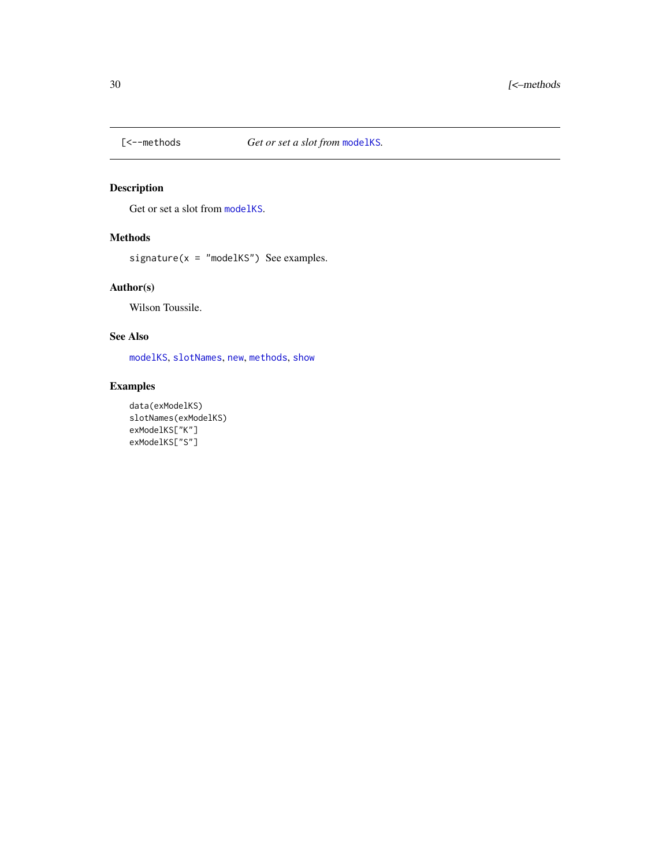<span id="page-29-0"></span>

# Description

Get or set a slot from [modelKS](#page-20-1).

# Methods

signature( $x =$  "modelKS") See examples.

# Author(s)

Wilson Toussile.

# See Also

[modelKS](#page-20-1), [slotNames](#page-0-0), [new](#page-0-0), [methods](#page-0-0), [show](#page-27-1)

# Examples

```
data(exModelKS)
slotNames(exModelKS)
exModelKS["K"]
exModelKS["S"]
```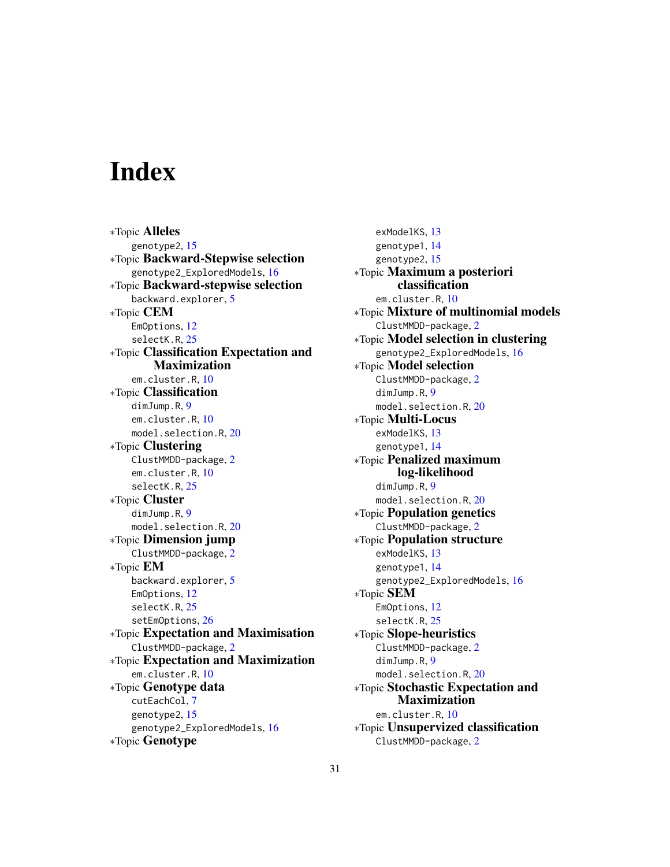# <span id="page-30-0"></span>**Index**

∗Topic Alleles genotype2, [15](#page-14-0) ∗Topic Backward-Stepwise selection genotype2\_ExploredModels, [16](#page-15-0) ∗Topic Backward-stepwise selection backward.explorer, [5](#page-4-0) ∗Topic CEM EmOptions, [12](#page-11-0) selectK.R, [25](#page-24-0) ∗Topic Classification Expectation and Maximization em.cluster.R, [10](#page-9-0) ∗Topic Classification dimJump.R, [9](#page-8-0) em.cluster.R, [10](#page-9-0) model.selection.R, [20](#page-19-0) ∗Topic Clustering ClustMMDD-package, [2](#page-1-0) em.cluster.R, [10](#page-9-0) selectK.R, [25](#page-24-0) ∗Topic Cluster dimJump.R, [9](#page-8-0) model.selection.R, [20](#page-19-0) ∗Topic Dimension jump ClustMMDD-package, [2](#page-1-0) ∗Topic EM backward.explorer, [5](#page-4-0) EmOptions, [12](#page-11-0) selectK.R, [25](#page-24-0) setEmOptions, [26](#page-25-0) ∗Topic Expectation and Maximisation ClustMMDD-package, [2](#page-1-0) ∗Topic Expectation and Maximization em.cluster.R, [10](#page-9-0) ∗Topic Genotype data cutEachCol, [7](#page-6-0) genotype2, [15](#page-14-0) genotype2\_ExploredModels, [16](#page-15-0) ∗Topic Genotype

exModelKS, [13](#page-12-0) genotype1, [14](#page-13-0) genotype2, [15](#page-14-0) ∗Topic Maximum a posteriori classification em.cluster.R, [10](#page-9-0) ∗Topic Mixture of multinomial models ClustMMDD-package, [2](#page-1-0) ∗Topic Model selection in clustering genotype2\_ExploredModels, [16](#page-15-0) ∗Topic Model selection ClustMMDD-package, [2](#page-1-0) dimJump.R, [9](#page-8-0) model.selection.R, [20](#page-19-0) ∗Topic Multi-Locus exModelKS, [13](#page-12-0) genotype1, [14](#page-13-0) ∗Topic Penalized maximum log-likelihood dimJump.R.[9](#page-8-0) model.selection.R, [20](#page-19-0) ∗Topic Population genetics ClustMMDD-package, [2](#page-1-0) ∗Topic Population structure exModelKS, [13](#page-12-0) genotype1, [14](#page-13-0) genotype2\_ExploredModels, [16](#page-15-0) ∗Topic SEM EmOptions, [12](#page-11-0) selectK.R, [25](#page-24-0) ∗Topic Slope-heuristics ClustMMDD-package, [2](#page-1-0) dimJump.R, [9](#page-8-0) model.selection.R, [20](#page-19-0) ∗Topic Stochastic Expectation and Maximization em.cluster.R, [10](#page-9-0) ∗Topic Unsupervized classification ClustMMDD-package, [2](#page-1-0)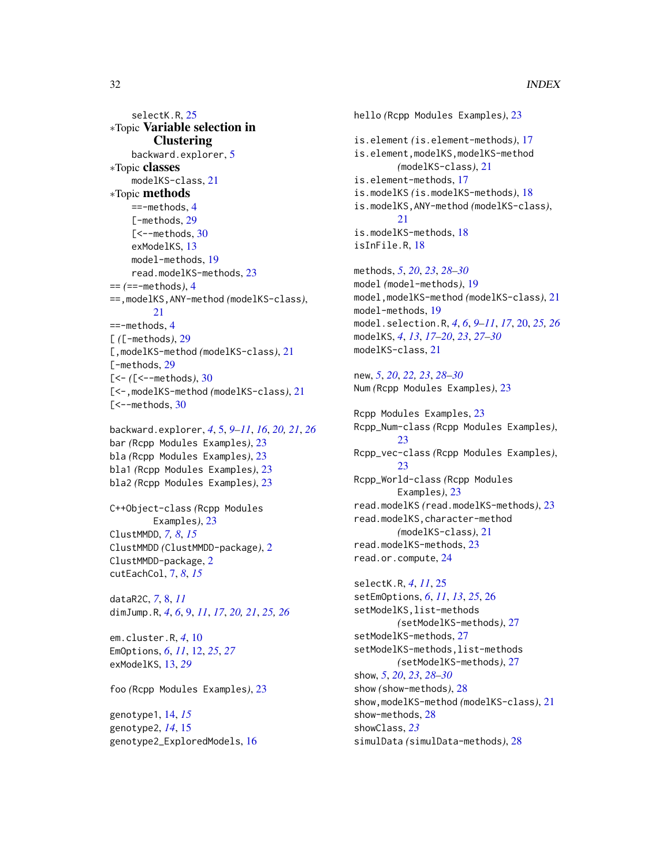selectK.R, [25](#page-24-0) ∗Topic Variable selection in **Clustering** backward.explorer, [5](#page-4-0) ∗Topic classes modelKS-class, [21](#page-20-0) ∗Topic methods  $==-$ methods, [4](#page-3-0) [-methods, [29](#page-28-0)  $[-\text{-methods}, 30]$  $[-\text{-methods}, 30]$  $[-\text{-methods}, 30]$ exModelKS, [13](#page-12-0) model-methods, [19](#page-18-0) read.modelKS-methods, [23](#page-22-0) == *(*==-methods*)*, [4](#page-3-0) ==,modelKS,ANY-method *(*modelKS-class*)*, [21](#page-20-0) ==-methods, [4](#page-3-0) [ *(*[-methods*)*, [29](#page-28-0) [,modelKS-method *(*modelKS-class*)*, [21](#page-20-0) [-methods, [29](#page-28-0) [<- *(*[<--methods*)*, [30](#page-29-0) [<-,modelKS-method *(*modelKS-class*)*, [21](#page-20-0)  $\mathsf{K}\rightarrow\mathsf{methods}, 30$  $\mathsf{K}\rightarrow\mathsf{methods}, 30$ 

```
backward.explorer, 4, 5, 9–11, 16, 20, 21, 26
bar (Rcpp Modules Examples), 23
bla (Rcpp Modules Examples), 23
bla1 (Rcpp Modules Examples), 23
bla2 (Rcpp Modules Examples), 23
```
C++Object-class *(*Rcpp Modules Examples*)*, [23](#page-22-0) ClustMMDD, *[7,](#page-6-0) [8](#page-7-0)*, *[15](#page-14-0)* ClustMMDD *(*ClustMMDD-package*)*, [2](#page-1-0) ClustMMDD-package, [2](#page-1-0) cutEachCol, [7,](#page-6-0) *[8](#page-7-0)*, *[15](#page-14-0)*

dataR2C, *[7](#page-6-0)*, [8,](#page-7-0) *[11](#page-10-0)* dimJump.R, *[4](#page-3-0)*, *[6](#page-5-0)*, [9,](#page-8-0) *[11](#page-10-0)*, *[17](#page-16-0)*, *[20,](#page-19-0) [21](#page-20-0)*, *[25,](#page-24-0) [26](#page-25-0)*

em.cluster.R, *[4](#page-3-0)*, [10](#page-9-0) EmOptions, *[6](#page-5-0)*, *[11](#page-10-0)*, [12,](#page-11-0) *[25](#page-24-0)*, *[27](#page-26-0)* exModelKS, [13,](#page-12-0) *[29](#page-28-0)*

foo *(*Rcpp Modules Examples*)*, [23](#page-22-0)

genotype1, [14,](#page-13-0) *[15](#page-14-0)* genotype2, *[14](#page-13-0)*, [15](#page-14-0) genotype2\_ExploredModels, [16](#page-15-0) hello *(*Rcpp Modules Examples*)*, [23](#page-22-0) is.element *(*is.element-methods*)*, [17](#page-16-0) is.element,modelKS,modelKS-method *(*modelKS-class*)*, [21](#page-20-0) is.element-methods, [17](#page-16-0) is.modelKS *(*is.modelKS-methods*)*, [18](#page-17-0) is.modelKS,ANY-method *(*modelKS-class*)*, [21](#page-20-0) is.modelKS-methods, [18](#page-17-0) isInFile.R, [18](#page-17-0)

methods, *[5](#page-4-0)*, *[20](#page-19-0)*, *[23](#page-22-0)*, *[28](#page-27-0)[–30](#page-29-0)* model *(*model-methods*)*, [19](#page-18-0) model,modelKS-method *(*modelKS-class*)*, [21](#page-20-0) model-methods, [19](#page-18-0) model.selection.R, *[4](#page-3-0)*, *[6](#page-5-0)*, *[9–](#page-8-0)[11](#page-10-0)*, *[17](#page-16-0)*, [20,](#page-19-0) *[25,](#page-24-0) [26](#page-25-0)* modelKS, *[4](#page-3-0)*, *[13](#page-12-0)*, *[17](#page-16-0)[–20](#page-19-0)*, *[23](#page-22-0)*, *[27](#page-26-0)[–30](#page-29-0)* modelKS-class, [21](#page-20-0)

new, *[5](#page-4-0)*, *[20](#page-19-0)*, *[22,](#page-21-0) [23](#page-22-0)*, *[28](#page-27-0)[–30](#page-29-0)* Num *(*Rcpp Modules Examples*)*, [23](#page-22-0)

Rcpp Modules Examples, [23](#page-22-0) Rcpp\_Num-class *(*Rcpp Modules Examples*)*, [23](#page-22-0) Rcpp\_vec-class *(*Rcpp Modules Examples*)*, [23](#page-22-0) Rcpp\_World-class *(*Rcpp Modules Examples*)*, [23](#page-22-0) read.modelKS *(*read.modelKS-methods*)*, [23](#page-22-0) read.modelKS,character-method *(*modelKS-class*)*, [21](#page-20-0) read.modelKS-methods, [23](#page-22-0) read.or.compute, [24](#page-23-0)

selectK.R, *[4](#page-3-0)*, *[11](#page-10-0)*, [25](#page-24-0) setEmOptions, *[6](#page-5-0)*, *[11](#page-10-0)*, *[13](#page-12-0)*, *[25](#page-24-0)*, [26](#page-25-0) setModelKS,list-methods *(*setModelKS-methods*)*, [27](#page-26-0) setModelKS-methods, [27](#page-26-0) setModelKS-methods,list-methods *(*setModelKS-methods*)*, [27](#page-26-0) show, *[5](#page-4-0)*, *[20](#page-19-0)*, *[23](#page-22-0)*, *[28](#page-27-0)[–30](#page-29-0)* show *(*show-methods*)*, [28](#page-27-0) show,modelKS-method *(*modelKS-class*)*, [21](#page-20-0) show-methods, [28](#page-27-0) showClass, *[23](#page-22-0)* simulData *(*simulData-methods*)*, [28](#page-27-0)